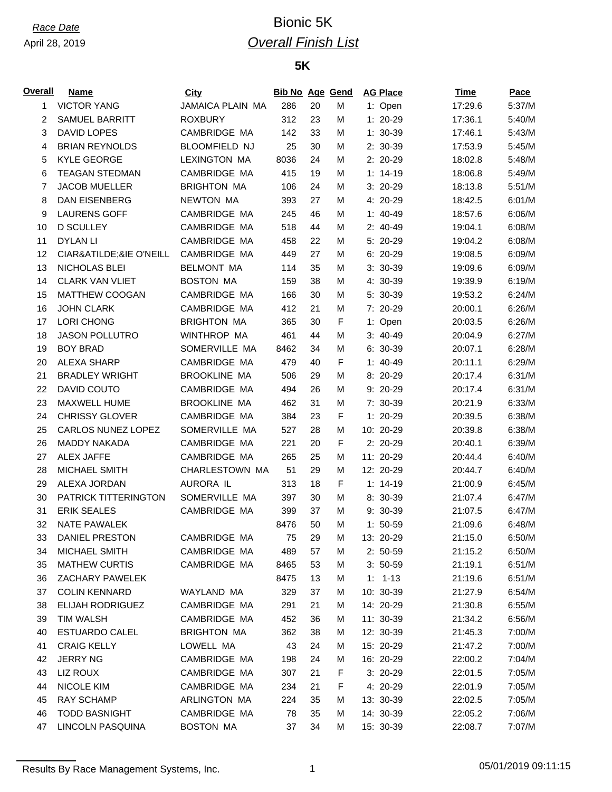## *Race Date* Bionic 5K *Overall Finish List*

### **5K**

| <u>Overall</u> | <b>Name</b>             | City                 | <b>Bib No Age Gend</b> |    |   | <b>AG Place</b> | Time    | <b>Pace</b> |
|----------------|-------------------------|----------------------|------------------------|----|---|-----------------|---------|-------------|
| 1              | <b>VICTOR YANG</b>      | JAMAICA PLAIN MA     | 286                    | 20 | M | 1: Open         | 17:29.6 | 5:37/M      |
| 2              | <b>SAMUEL BARRITT</b>   | <b>ROXBURY</b>       | 312                    | 23 | M | $1: 20-29$      | 17:36.1 | 5:40/M      |
| 3              | DAVID LOPES             | CAMBRIDGE MA         | 142                    | 33 | M | $1: 30-39$      | 17:46.1 | 5:43/M      |
| 4              | <b>BRIAN REYNOLDS</b>   | <b>BLOOMFIELD NJ</b> | 25                     | 30 | М | 2: 30-39        | 17:53.9 | 5:45/M      |
| 5              | <b>KYLE GEORGE</b>      | <b>LEXINGTON MA</b>  | 8036                   | 24 | M | 2: 20-29        | 18:02.8 | 5:48/M      |
| 6              | <b>TEAGAN STEDMAN</b>   | CAMBRIDGE MA         | 415                    | 19 | M | $1: 14-19$      | 18:06.8 | 5:49/M      |
| 7              | <b>JACOB MUELLER</b>    | <b>BRIGHTON MA</b>   | 106                    | 24 | М | 3: 20-29        | 18:13.8 | 5:51/M      |
| 8              | <b>DAN EISENBERG</b>    | NEWTON MA            | 393                    | 27 | М | 4: 20-29        | 18:42.5 | 6:01/M      |
| 9              | <b>LAURENS GOFF</b>     | CAMBRIDGE MA         | 245                    | 46 | М | $1: 40-49$      | 18:57.6 | 6:06/M      |
| 10             | <b>D SCULLEY</b>        | CAMBRIDGE MA         | 518                    | 44 | M | $2: 40-49$      | 19:04.1 | 6:08/M      |
| 11             | <b>DYLANLI</b>          | CAMBRIDGE MA         | 458                    | 22 | М | 5: 20-29        | 19:04.2 | 6:08/M      |
| 12             | CIARÃ&IE O'NEILL        | CAMBRIDGE MA         | 449                    | 27 | М | 6: 20-29        | 19:08.5 | 6:09/M      |
| 13             | NICHOLAS BLEI           | <b>BELMONT MA</b>    | 114                    | 35 | M | $3:30-39$       | 19:09.6 | 6:09/M      |
| 14             | <b>CLARK VAN VLIET</b>  | <b>BOSTON MA</b>     | 159                    | 38 | M | 4: 30-39        | 19:39.9 | 6:19/M      |
| 15             | <b>MATTHEW COOGAN</b>   | CAMBRIDGE MA         | 166                    | 30 | М | 5: 30-39        | 19:53.2 | 6:24/M      |
| 16             | <b>JOHN CLARK</b>       | CAMBRIDGE MA         | 412                    | 21 | М | 7: 20-29        | 20:00.1 | 6:26/M      |
| 17             | LORI CHONG              | <b>BRIGHTON MA</b>   | 365                    | 30 | F | 1: Open         | 20:03.5 | 6:26/M      |
| 18             | <b>JASON POLLUTRO</b>   | WINTHROP MA          | 461                    | 44 | M | $3: 40-49$      | 20:04.9 | 6:27/M      |
| 19             | <b>BOY BRAD</b>         | SOMERVILLE MA        | 8462                   | 34 | M | 6: 30-39        | 20:07.1 | 6:28/M      |
| 20             | <b>ALEXA SHARP</b>      | CAMBRIDGE MA         | 479                    | 40 | F | $1: 40-49$      | 20:11.1 | 6:29/M      |
| 21             | <b>BRADLEY WRIGHT</b>   | <b>BROOKLINE MA</b>  | 506                    | 29 | M | 8: 20-29        | 20:17.4 | 6:31/M      |
| 22             | DAVID COUTO             | CAMBRIDGE MA         | 494                    | 26 | M | 9: 20-29        | 20:17.4 | 6:31/M      |
| 23             | MAXWELL HUME            | <b>BROOKLINE MA</b>  | 462                    | 31 | M | 7: 30-39        | 20:21.9 | 6:33/M      |
| 24             | <b>CHRISSY GLOVER</b>   | CAMBRIDGE MA         | 384                    | 23 | F | $1: 20-29$      | 20:39.5 | 6:38/M      |
| 25             | CARLOS NUNEZ LOPEZ      | SOMERVILLE MA        | 527                    | 28 | M | 10: 20-29       | 20:39.8 | 6:38/M      |
| 26             | <b>MADDY NAKADA</b>     | CAMBRIDGE MA         | 221                    | 20 | F | 2: 20-29        | 20:40.1 | 6:39/M      |
| 27             | <b>ALEX JAFFE</b>       | CAMBRIDGE MA         | 265                    | 25 | M | 11: 20-29       | 20:44.4 | 6:40/M      |
| 28             | <b>MICHAEL SMITH</b>    | CHARLESTOWN MA       | 51                     | 29 | М | 12: 20-29       | 20:44.7 | 6:40/M      |
| 29             | ALEXA JORDAN            | AURORA IL            | 313                    | 18 | F | $1: 14-19$      | 21:00.9 | 6:45/M      |
| 30             | PATRICK TITTERINGTON    | SOMERVILLE MA        | 397                    | 30 | M | 8: 30-39        |         | 6:47/M      |
| 31             | <b>ERIK SEALES</b>      | CAMBRIDGE MA         | 399                    | 37 | М | 9: 30-39        | 21:07.4 | 6:47/M      |
|                |                         |                      |                        |    |   |                 | 21:07.5 |             |
| 32             | <b>NATE PAWALEK</b>     | CAMBRIDGE MA         | 8476                   | 50 | М | $1: 50-59$      | 21:09.6 | 6:48/M      |
| 33             | <b>DANIEL PRESTON</b>   | CAMBRIDGE MA         | 75                     | 29 | М | 13: 20-29       | 21:15.0 | 6:50/M      |
| 34             | MICHAEL SMITH           |                      | 489                    | 57 | М | $2: 50-59$      | 21:15.2 | 6:50/M      |
| 35             | <b>MATHEW CURTIS</b>    | CAMBRIDGE MA         | 8465                   | 53 | м | $3: 50-59$      | 21:19.1 | 6:51/M      |
| 36             | <b>ZACHARY PAWELEK</b>  |                      | 8475                   | 13 | М | $1: 1-13$       | 21:19.6 | 6:51/M      |
| 37             | <b>COLIN KENNARD</b>    | WAYLAND MA           | 329                    | 37 | м | 10: 30-39       | 21:27.9 | 6:54/M      |
| 38             | <b>ELIJAH RODRIGUEZ</b> | CAMBRIDGE MA         | 291                    | 21 | м | 14: 20-29       | 21:30.8 | 6:55/M      |
| 39             | <b>TIM WALSH</b>        | CAMBRIDGE MA         | 452                    | 36 | м | 11: 30-39       | 21:34.2 | 6:56/M      |
| 40             | ESTUARDO CALEL          | <b>BRIGHTON MA</b>   | 362                    | 38 | М | 12: 30-39       | 21:45.3 | 7:00/M      |
| 41             | <b>CRAIG KELLY</b>      | LOWELL MA            | 43                     | 24 | м | 15: 20-29       | 21:47.2 | 7:00/M      |
| 42             | <b>JERRY NG</b>         | CAMBRIDGE MA         | 198                    | 24 | м | 16: 20-29       | 22:00.2 | 7:04/M      |
| 43             | LIZ ROUX                | CAMBRIDGE MA         | 307                    | 21 | F | $3:20-29$       | 22:01.5 | 7:05/M      |
| 44             | NICOLE KIM              | CAMBRIDGE MA         | 234                    | 21 | F | 4: 20-29        | 22:01.9 | 7:05/M      |
| 45             | RAY SCHAMP              | ARLINGTON MA         | 224                    | 35 | м | 13: 30-39       | 22:02.5 | 7:05/M      |
| 46             | <b>TODD BASNIGHT</b>    | CAMBRIDGE MA         | 78                     | 35 | м | 14: 30-39       | 22:05.2 | 7:06/M      |
| 47             | LINCOLN PASQUINA        | <b>BOSTON MA</b>     | 37                     | 34 | М | 15: 30-39       | 22:08.7 | 7:07/M      |

Results By Race Management Systems, Inc. 1 05/01/2019 09:11:15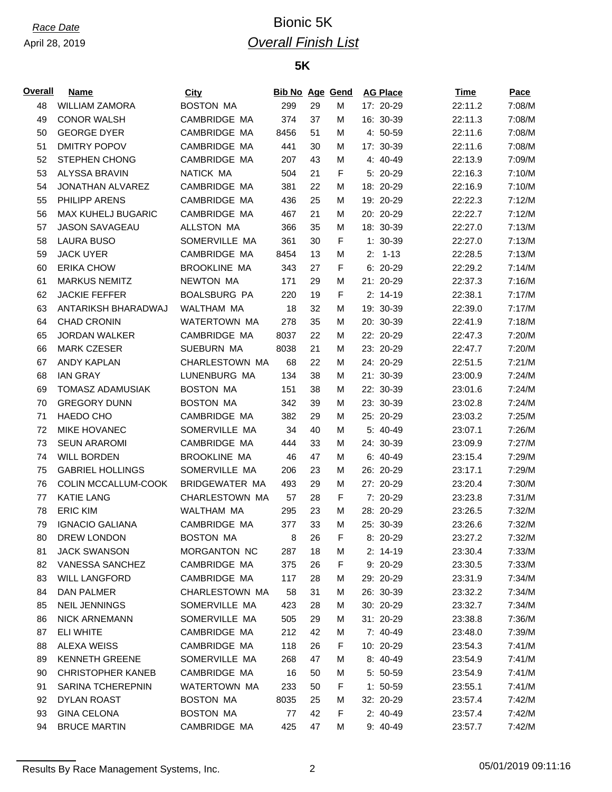## *Race Date* Bionic 5K *Overall Finish List*

#### **5K**

| Overall | Name                      | City                | <b>Bib No Age Gend</b> |    |   | <b>AG Place</b> | Time    | Pace   |
|---------|---------------------------|---------------------|------------------------|----|---|-----------------|---------|--------|
| 48      | <b>WILLIAM ZAMORA</b>     | <b>BOSTON MA</b>    | 299                    | 29 | M | 17: 20-29       | 22:11.2 | 7:08/M |
| 49      | <b>CONOR WALSH</b>        | CAMBRIDGE MA        | 374                    | 37 | M | 16: 30-39       | 22:11.3 | 7:08/M |
| 50      | <b>GEORGE DYER</b>        | CAMBRIDGE MA        | 8456                   | 51 | М | 4: 50-59        | 22:11.6 | 7:08/M |
| 51      | <b>DMITRY POPOV</b>       | CAMBRIDGE MA        | 441                    | 30 | М | 17: 30-39       | 22:11.6 | 7:08/M |
| 52      | <b>STEPHEN CHONG</b>      | CAMBRIDGE MA        | 207                    | 43 | М | 4: 40-49        | 22:13.9 | 7:09/M |
| 53      | <b>ALYSSA BRAVIN</b>      | NATICK MA           | 504                    | 21 | F | 5: 20-29        | 22:16.3 | 7:10/M |
| 54      | JONATHAN ALVAREZ          | CAMBRIDGE MA        | 381                    | 22 | М | 18: 20-29       | 22:16.9 | 7:10/M |
| 55      | PHILIPP ARENS             | CAMBRIDGE MA        | 436                    | 25 | м | 19: 20-29       | 22:22.3 | 7:12/M |
| 56      | <b>MAX KUHELJ BUGARIC</b> | CAMBRIDGE MA        | 467                    | 21 | М | 20: 20-29       | 22:22.7 | 7:12/M |
| 57      | <b>JASON SAVAGEAU</b>     | <b>ALLSTON MA</b>   | 366                    | 35 | М | 18: 30-39       | 22:27.0 | 7:13/M |
| 58      | <b>LAURA BUSO</b>         | SOMERVILLE MA       | 361                    | 30 | F | $1: 30-39$      | 22:27.0 | 7:13/M |
| 59      | <b>JACK UYER</b>          | CAMBRIDGE MA        | 8454                   | 13 | М | $2: 1-13$       | 22:28.5 | 7:13/M |
| 60      | <b>ERIKA CHOW</b>         | <b>BROOKLINE MA</b> | 343                    | 27 | F | $6: 20-29$      | 22:29.2 | 7:14/M |
| 61      | <b>MARKUS NEMITZ</b>      | NEWTON MA           | 171                    | 29 | M | 21: 20-29       | 22:37.3 | 7:16/M |
| 62      | <b>JACKIE FEFFER</b>      | <b>BOALSBURG PA</b> | 220                    | 19 | F | $2: 14-19$      | 22:38.1 | 7:17/M |
| 63      | ANTARIKSH BHARADWAJ       | WALTHAM MA          | 18                     | 32 | М | 19: 30-39       | 22:39.0 | 7:17/M |
| 64      | <b>CHAD CRONIN</b>        | WATERTOWN MA        | 278                    | 35 | М | 20: 30-39       | 22:41.9 | 7:18/M |
| 65      | <b>JORDAN WALKER</b>      | CAMBRIDGE MA        | 8037                   | 22 | М | 22: 20-29       | 22:47.3 | 7:20/M |
| 66      | <b>MARK CZESER</b>        | SUEBURN MA          | 8038                   | 21 | М | 23: 20-29       | 22:47.7 | 7:20/M |
| 67      | <b>ANDY KAPLAN</b>        | CHARLESTOWN MA      | 68                     | 22 | М | 24: 20-29       | 22:51.5 | 7:21/M |
| 68      | <b>IAN GRAY</b>           | LUNENBURG MA        | 134                    | 38 | М | 21: 30-39       | 23:00.9 | 7:24/M |
| 69      | TOMASZ ADAMUSIAK          | <b>BOSTON MA</b>    | 151                    | 38 | М | 22: 30-39       | 23:01.6 | 7:24/M |
| 70      | <b>GREGORY DUNN</b>       | <b>BOSTON MA</b>    | 342                    | 39 | М | 23: 30-39       | 23:02.8 | 7:24/M |
| 71      | HAEDO CHO                 | CAMBRIDGE MA        | 382                    | 29 | М | 25: 20-29       | 23:03.2 | 7:25/M |
| 72      | <b>MIKE HOVANEC</b>       | SOMERVILLE MA       | 34                     | 40 | М | 5: 40-49        | 23:07.1 | 7:26/M |
| 73      | <b>SEUN ARAROMI</b>       | CAMBRIDGE MA        | 444                    | 33 | М | 24: 30-39       | 23:09.9 | 7:27/M |
| 74      | <b>WILL BORDEN</b>        | <b>BROOKLINE MA</b> | 46                     | 47 | М | 6: 40-49        | 23:15.4 | 7:29/M |
| 75      | <b>GABRIEL HOLLINGS</b>   | SOMERVILLE MA       | 206                    | 23 | М | 26: 20-29       | 23:17.1 | 7:29/M |
| 76      | COLIN MCCALLUM-COOK       | BRIDGEWATER MA      | 493                    | 29 | M | 27: 20-29       | 23:20.4 | 7:30/M |
| 77      | <b>KATIE LANG</b>         | CHARLESTOWN MA      | 57                     | 28 | F | 7: 20-29        | 23:23.8 | 7:31/M |
| 78      | <b>ERIC KIM</b>           | WALTHAM MA          | 295                    | 23 | М | 28: 20-29       | 23:26.5 | 7:32/M |
| 79      | <b>IGNACIO GALIANA</b>    | CAMBRIDGE MA        | 377                    | 33 | М | 25: 30-39       | 23:26.6 | 7:32/M |
| 80      | DREW LONDON               | <b>BOSTON MA</b>    | 8                      | 26 | F | 8: 20-29        | 23:27.2 | 7:32/M |
| 81      | <b>JACK SWANSON</b>       | MORGANTON NC        | 287                    | 18 | М | $2: 14-19$      | 23:30.4 | 7:33/M |
| 82      | <b>VANESSA SANCHEZ</b>    | CAMBRIDGE MA        | 375                    | 26 | F | $9:20-29$       | 23:30.5 | 7:33/M |
| 83      | <b>WILL LANGFORD</b>      | CAMBRIDGE MA        | 117                    | 28 | М | 29: 20-29       | 23:31.9 | 7:34/M |
| 84      | DAN PALMER                | CHARLESTOWN MA      | 58                     | 31 | м | 26: 30-39       | 23:32.2 | 7:34/M |
| 85      | <b>NEIL JENNINGS</b>      | SOMERVILLE MA       | 423                    | 28 | м | 30: 20-29       | 23:32.7 | 7:34/M |
| 86      | <b>NICK ARNEMANN</b>      | SOMERVILLE MA       | 505                    | 29 | м | 31: 20-29       | 23:38.8 | 7:36/M |
| 87      | ELI WHITE                 | CAMBRIDGE MA        | 212                    | 42 | м | $7:40-49$       | 23:48.0 | 7:39/M |
| 88      | <b>ALEXA WEISS</b>        | CAMBRIDGE MA        | 118                    | 26 | F | 10: 20-29       | 23:54.3 | 7:41/M |
| 89      | <b>KENNETH GREENE</b>     | SOMERVILLE MA       | 268                    | 47 | М | $8:40-49$       | 23:54.9 | 7:41/M |
|         |                           |                     |                        |    |   |                 |         |        |
| 90      | <b>CHRISTOPHER KANEB</b>  | CAMBRIDGE MA        | 16                     | 50 | М | $5: 50-59$      | 23:54.9 | 7:41/M |
| 91      | SARINA TCHEREPNIN         | WATERTOWN MA        | 233                    | 50 | F | $1: 50-59$      | 23:55.1 | 7:41/M |
| 92      | DYLAN ROAST               | <b>BOSTON MA</b>    | 8035                   | 25 | м | 32: 20-29       | 23:57.4 | 7:42/M |
| 93      | <b>GINA CELONA</b>        | <b>BOSTON MA</b>    | 77                     | 42 | F | $2: 40-49$      | 23:57.4 | 7:42/M |
| 94      | <b>BRUCE MARTIN</b>       | CAMBRIDGE MA        | 425                    | 47 | М | 9: 40-49        | 23:57.7 | 7:42/M |

Results By Race Management Systems, Inc. 2 2 2 05/01/2019 09:11:16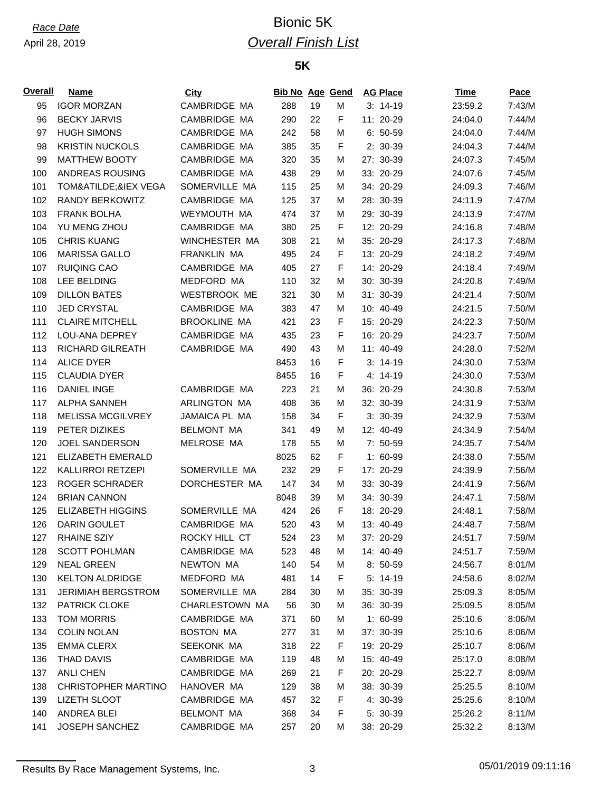## *Race Date* Bionic 5K *Overall Finish List*

### **5K**

| <b>Overall</b> | Name                       | City                | <b>Bib No Age Gend</b> |    |   | <b>AG Place</b> | Time    | Pace   |
|----------------|----------------------------|---------------------|------------------------|----|---|-----------------|---------|--------|
| 95             | <b>IGOR MORZAN</b>         | CAMBRIDGE MA        | 288                    | 19 | M | $3: 14-19$      | 23:59.2 | 7:43/M |
| 96             | <b>BECKY JARVIS</b>        | CAMBRIDGE MA        | 290                    | 22 | F | 11: 20-29       | 24:04.0 | 7:44/M |
| 97             | <b>HUGH SIMONS</b>         | CAMBRIDGE MA        | 242                    | 58 | M | $6: 50-59$      | 24:04.0 | 7:44/M |
| 98             | <b>KRISTIN NUCKOLS</b>     | CAMBRIDGE MA        | 385                    | 35 | F | 2: 30-39        | 24:04.3 | 7:44/M |
| 99             | <b>MATTHEW BOOTY</b>       | CAMBRIDGE MA        | 320                    | 35 | М | 27: 30-39       | 24:07.3 | 7:45/M |
| 100            | ANDREAS ROUSING            | CAMBRIDGE MA        | 438                    | 29 | М | 33: 20-29       | 24:07.6 | 7:45/M |
| 101            | TOMÃ&IEX VEGA              | SOMERVILLE MA       | 115                    | 25 | М | 34: 20-29       | 24:09.3 | 7:46/M |
| 102            | <b>RANDY BERKOWITZ</b>     | CAMBRIDGE MA        | 125                    | 37 | М | 28: 30-39       | 24:11.9 | 7:47/M |
| 103            | <b>FRANK BOLHA</b>         | WEYMOUTH MA         | 474                    | 37 | М | 29: 30-39       | 24:13.9 | 7:47/M |
| 104            | YU MENG ZHOU               | CAMBRIDGE MA        | 380                    | 25 | F | 12: 20-29       | 24:16.8 | 7:48/M |
| 105            | <b>CHRIS KUANG</b>         | WINCHESTER MA       | 308                    | 21 | М | 35: 20-29       | 24:17.3 | 7:48/M |
| 106            | <b>MARISSA GALLO</b>       | <b>FRANKLIN MA</b>  | 495                    | 24 | F | 13: 20-29       | 24:18.2 | 7:49/M |
| 107            | <b>RUIQING CAO</b>         | CAMBRIDGE MA        | 405                    | 27 | F | 14: 20-29       | 24:18.4 | 7:49/M |
| 108            | <b>LEE BELDING</b>         | MEDFORD MA          | 110                    | 32 | М | 30: 30-39       | 24:20.8 | 7:49/M |
| 109            | <b>DILLON BATES</b>        | <b>WESTBROOK ME</b> | 321                    | 30 | М | 31: 30-39       | 24:21.4 | 7:50/M |
| 110            | <b>JED CRYSTAL</b>         | CAMBRIDGE MA        | 383                    | 47 | М | 10: 40-49       | 24:21.5 | 7:50/M |
| 111            | <b>CLAIRE MITCHELL</b>     | <b>BROOKLINE MA</b> | 421                    | 23 | F | 15: 20-29       | 24:22.3 | 7:50/M |
|                |                            |                     |                        |    |   |                 |         |        |
| 112            | LOU-ANA DEPREY             | CAMBRIDGE MA        | 435                    | 23 | F | 16: 20-29       | 24:23.7 | 7:50/M |
| 113            | RICHARD GILREATH           | CAMBRIDGE MA        | 490                    | 43 | М | 11: 40-49       | 24:28.0 | 7:52/M |
| 114            | <b>ALICE DYER</b>          |                     | 8453                   | 16 | F | $3:14-19$       | 24:30.0 | 7:53/M |
| 115            | <b>CLAUDIA DYER</b>        |                     | 8455                   | 16 | F | 4: 14-19        | 24:30.0 | 7:53/M |
| 116            | <b>DANIEL INGE</b>         | CAMBRIDGE MA        | 223                    | 21 | М | 36: 20-29       | 24:30.8 | 7:53/M |
| 117            | <b>ALPHA SANNEH</b>        | ARLINGTON MA        | 408                    | 36 | М | 32: 30-39       | 24:31.9 | 7:53/M |
| 118            | <b>MELISSA MCGILVREY</b>   | JAMAICA PL MA       | 158                    | 34 | F | $3:30-39$       | 24:32.9 | 7:53/M |
| 119            | PETER DIZIKES              | <b>BELMONT MA</b>   | 341                    | 49 | М | 12: 40-49       | 24:34.9 | 7:54/M |
| 120            | <b>JOEL SANDERSON</b>      | MELROSE MA          | 178                    | 55 | М | 7: 50-59        | 24:35.7 | 7:54/M |
| 121            | ELIZABETH EMERALD          |                     | 8025                   | 62 | F | 1: 60-99        | 24:38.0 | 7:55/M |
| 122            | KALLIRROI RETZEPI          | SOMERVILLE MA       | 232                    | 29 | F | 17: 20-29       | 24:39.9 | 7:56/M |
| 123            | <b>ROGER SCHRADER</b>      | DORCHESTER MA       | 147                    | 34 | М | 33: 30-39       | 24:41.9 | 7:56/M |
| 124            | <b>BRIAN CANNON</b>        |                     | 8048                   | 39 | м | 34: 30-39       | 24:47.1 | 7:58/M |
| 125            | <b>ELIZABETH HIGGINS</b>   | SOMERVILLE MA       | 424                    | 26 | F | 18: 20-29       | 24:48.1 | 7:58/M |
| 126            | <b>DARIN GOULET</b>        | CAMBRIDGE MA        | 520                    | 43 | M | 13: 40-49       | 24:48.7 | 7:58/M |
| 127            | <b>RHAINE SZIY</b>         | ROCKY HILL CT       | 524                    | 23 | M | 37: 20-29       | 24:51.7 | 7:59/M |
| 128            | <b>SCOTT POHLMAN</b>       | CAMBRIDGE MA        | 523                    | 48 | М | 14: 40-49       | 24:51.7 | 7:59/M |
| 129            | <b>NEAL GREEN</b>          | <b>NEWTON MA</b>    | 140                    | 54 | М | $8:50-59$       | 24:56.7 | 8:01/M |
| 130            | <b>KELTON ALDRIDGE</b>     | MEDFORD MA          | 481                    | 14 | F | $5: 14-19$      | 24:58.6 | 8:02/M |
| 131            | <b>JERIMIAH BERGSTROM</b>  | SOMERVILLE MA       | 284                    | 30 | M | 35: 30-39       | 25:09.3 | 8:05/M |
| 132            | <b>PATRICK CLOKE</b>       | CHARLESTOWN MA      | 56                     | 30 | м | 36: 30-39       | 25:09.5 | 8:05/M |
| 133            | <b>TOM MORRIS</b>          | CAMBRIDGE MA        | 371                    | 60 | м | $1:60-99$       | 25:10.6 | 8:06/M |
| 134            | <b>COLIN NOLAN</b>         | <b>BOSTON MA</b>    | 277                    | 31 | М | 37: 30-39       | 25:10.6 | 8:06/M |
| 135            | <b>EMMA CLERX</b>          | <b>SEEKONK MA</b>   | 318                    | 22 | F | 19: 20-29       | 25:10.7 | 8:06/M |
| 136            | THAD DAVIS                 | CAMBRIDGE MA        | 119                    | 48 | М | 15: 40-49       | 25:17.0 | 8:08/M |
| 137            | <b>ANLI CHEN</b>           | CAMBRIDGE MA        | 269                    | 21 | F | 20: 20-29       | 25:22.7 | 8:09/M |
| 138            | <b>CHRISTOPHER MARTINO</b> | HANOVER MA          | 129                    | 38 | M | 38: 30-39       | 25:25.5 | 8:10/M |
| 139            | LIZETH SLOOT               | CAMBRIDGE MA        | 457                    | 32 | F | 4: 30-39        | 25:25.6 | 8:10/M |
| 140            | ANDREA BLEI                | <b>BELMONT MA</b>   | 368                    | 34 | F | $5: 30-39$      | 25:26.2 | 8:11/M |
| 141            | <b>JOSEPH SANCHEZ</b>      | CAMBRIDGE MA        | 257                    | 20 | M | 38: 20-29       | 25:32.2 | 8:13/M |

Results By Race Management Systems, Inc. 23 3 2012 11:16 05/01/2019 09:11:16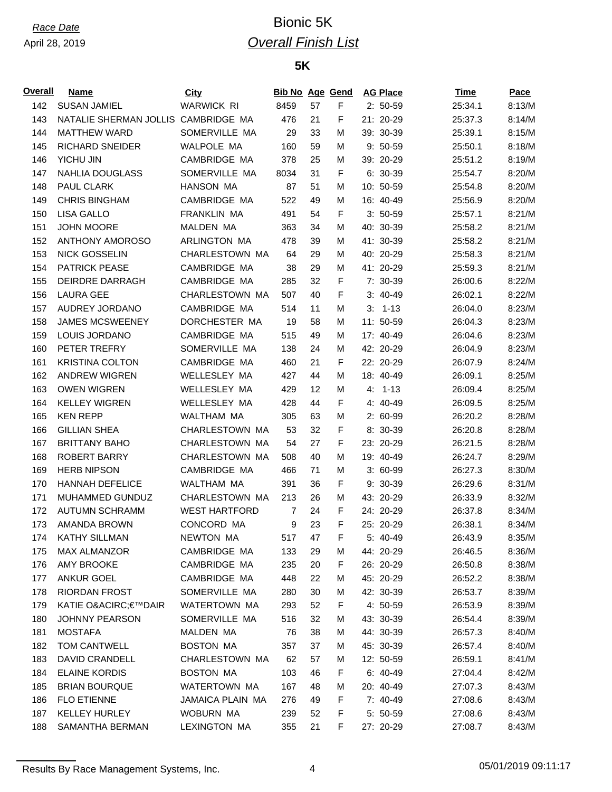## *Race Date* Bionic 5K *Overall Finish List*

### **5K**

| <u>Overall</u> | Name                                | City                    | <b>Bib No Age Gend</b> |    |   | <b>AG Place</b> | Time    | Pace   |
|----------------|-------------------------------------|-------------------------|------------------------|----|---|-----------------|---------|--------|
| 142            | <b>SUSAN JAMIEL</b>                 | <b>WARWICK RI</b>       | 8459                   | 57 | F | $2: 50-59$      | 25:34.1 | 8:13/M |
| 143            | NATALIE SHERMAN JOLLIS CAMBRIDGE MA |                         | 476                    | 21 | F | 21: 20-29       | 25:37.3 | 8:14/M |
| 144            | <b>MATTHEW WARD</b>                 | SOMERVILLE MA           | 29                     | 33 | М | 39: 30-39       | 25:39.1 | 8:15/M |
| 145            | <b>RICHARD SNEIDER</b>              | WALPOLE MA              | 160                    | 59 | М | 9: 50-59        | 25:50.1 | 8:18/M |
| 146            | YICHU JIN                           | CAMBRIDGE MA            | 378                    | 25 | М | 39: 20-29       | 25:51.2 | 8:19/M |
| 147            | <b>NAHLIA DOUGLASS</b>              | SOMERVILLE MA           | 8034                   | 31 | F | 6: 30-39        | 25:54.7 | 8:20/M |
| 148            | PAUL CLARK                          | <b>HANSON MA</b>        | 87                     | 51 | М | 10: 50-59       | 25:54.8 | 8:20/M |
| 149            | <b>CHRIS BINGHAM</b>                | CAMBRIDGE MA            | 522                    | 49 | М | 16: 40-49       | 25:56.9 | 8:20/M |
| 150            | <b>LISA GALLO</b>                   | <b>FRANKLIN MA</b>      | 491                    | 54 | F | $3:50-59$       | 25:57.1 | 8:21/M |
| 151            | <b>JOHN MOORE</b>                   | <b>MALDEN MA</b>        | 363                    | 34 | М | 40: 30-39       | 25:58.2 | 8:21/M |
| 152            | <b>ANTHONY AMOROSO</b>              | ARLINGTON MA            | 478                    | 39 | М | 41: 30-39       | 25:58.2 | 8:21/M |
| 153            | <b>NICK GOSSELIN</b>                | CHARLESTOWN MA          | 64                     | 29 | М | 40: 20-29       | 25:58.3 | 8:21/M |
| 154            | <b>PATRICK PEASE</b>                | CAMBRIDGE MA            | 38                     | 29 | М | 41: 20-29       | 25:59.3 | 8:21/M |
| 155            | DEIRDRE DARRAGH                     | CAMBRIDGE MA            | 285                    | 32 | F | 7: 30-39        | 26:00.6 | 8:22/M |
| 156            | <b>LAURA GEE</b>                    | CHARLESTOWN MA          | 507                    | 40 | F | $3:40-49$       | 26:02.1 | 8:22/M |
| 157            | AUDREY JORDANO                      | CAMBRIDGE MA            | 514                    | 11 | м | $3: 1-13$       | 26:04.0 | 8:23/M |
| 158            | <b>JAMES MCSWEENEY</b>              | DORCHESTER MA           | 19                     | 58 | М | 11: 50-59       | 26:04.3 | 8:23/M |
| 159            | LOUIS JORDANO                       | CAMBRIDGE MA            | 515                    | 49 | М | 17: 40-49       | 26:04.6 | 8:23/M |
| 160            | PETER TREFRY                        | SOMERVILLE MA           | 138                    | 24 | М | 42: 20-29       | 26:04.9 | 8:23/M |
| 161            | <b>KRISTINA COLTON</b>              | CAMBRIDGE MA            | 460                    | 21 | F | 22: 20-29       | 26:07.9 | 8:24/M |
| 162            | <b>ANDREW WIGREN</b>                | WELLESLEY MA            | 427                    | 44 | М | 18: 40-49       | 26:09.1 | 8:25/M |
| 163            | <b>OWEN WIGREN</b>                  | WELLESLEY MA            | 429                    | 12 | М | $4: 1-13$       | 26:09.4 | 8:25/M |
| 164            | <b>KELLEY WIGREN</b>                | WELLESLEY MA            | 428                    | 44 | F | 4: 40-49        | 26:09.5 | 8:25/M |
| 165            | <b>KEN REPP</b>                     | WALTHAM MA              | 305                    | 63 | м | 2: 60-99        | 26:20.2 | 8:28/M |
| 166            | <b>GILLIAN SHEA</b>                 | CHARLESTOWN MA          | 53                     | 32 | F | 8: 30-39        | 26:20.8 | 8:28/M |
| 167            | <b>BRITTANY BAHO</b>                | CHARLESTOWN MA          | 54                     | 27 | F | 23: 20-29       | 26:21.5 | 8:28/M |
| 168            | <b>ROBERT BARRY</b>                 | CHARLESTOWN MA          | 508                    | 40 | М | 19: 40-49       | 26:24.7 | 8:29/M |
| 169            | <b>HERB NIPSON</b>                  | CAMBRIDGE MA            | 466                    | 71 | М | 3: 60-99        | 26:27.3 | 8:30/M |
| 170            | <b>HANNAH DEFELICE</b>              | WALTHAM MA              | 391                    | 36 | F | 9: 30-39        | 26:29.6 | 8:31/M |
| 171            | MUHAMMED GUNDUZ                     | CHARLESTOWN MA          | 213                    | 26 | М | 43: 20-29       | 26:33.9 | 8:32/M |
| 172            | <b>AUTUMN SCHRAMM</b>               | <b>WEST HARTFORD</b>    | 7                      | 24 | F | 24: 20-29       | 26:37.8 | 8:34/M |
| 173            | <b>AMANDA BROWN</b>                 | CONCORD MA              | 9                      | 23 | F | 25: 20-29       | 26:38.1 | 8:34/M |
| 174            | <b>KATHY SILLMAN</b>                | NEWTON MA               | 517                    | 47 | F | 5: 40-49        | 26:43.9 | 8:35/M |
| 175            | MAX ALMANZOR                        | CAMBRIDGE MA            | 133                    | 29 | м | 44: 20-29       | 26:46.5 | 8:36/M |
| 176            | AMY BROOKE                          | CAMBRIDGE MA            | 235                    | 20 | F | 26: 20-29       | 26:50.8 | 8:38/M |
| 177            | <b>ANKUR GOEL</b>                   | CAMBRIDGE MA            | 448                    | 22 | М | 45: 20-29       | 26:52.2 | 8:38/M |
| 178            | RIORDAN FROST                       | SOMERVILLE MA           | 280                    | 30 | М | 42: 30-39       | 26:53.7 | 8:39/M |
| 179            | <b>KATIE O&amp;ACIRC€™DAIR</b>      | WATERTOWN MA            | 293                    | 52 | F | 4: 50-59        | 26:53.9 | 8:39/M |
| 180            | <b>JOHNNY PEARSON</b>               | SOMERVILLE MA           | 516                    | 32 | M | 43: 30-39       | 26:54.4 | 8:39/M |
| 181            | <b>MOSTAFA</b>                      | MALDEN MA               | 76                     | 38 | М | 44: 30-39       | 26:57.3 | 8:40/M |
| 182            | <b>TOM CANTWELL</b>                 | <b>BOSTON MA</b>        | 357                    | 37 | м | 45: 30-39       | 26:57.4 | 8:40/M |
| 183            | DAVID CRANDELL                      | CHARLESTOWN MA          | 62                     | 57 | м | 12: 50-59       | 26:59.1 | 8:41/M |
| 184            | <b>ELAINE KORDIS</b>                | <b>BOSTON MA</b>        | 103                    | 46 | F | $6: 40-49$      | 27:04.4 | 8:42/M |
| 185            | <b>BRIAN BOURQUE</b>                | WATERTOWN MA            | 167                    | 48 | М | 20: 40-49       | 27:07.3 | 8:43/M |
| 186            | <b>FLO ETIENNE</b>                  | <b>JAMAICA PLAIN MA</b> | 276                    | 49 | F | 7: 40-49        | 27:08.6 | 8:43/M |
| 187            | <b>KELLEY HURLEY</b>                | WOBURN MA               | 239                    | 52 | F | $5: 50-59$      | 27:08.6 | 8:43/M |
| 188            | SAMANTHA BERMAN                     | <b>LEXINGTON MA</b>     | 355                    | 21 | F | 27: 20-29       | 27:08.7 | 8:43/M |
|                |                                     |                         |                        |    |   |                 |         |        |

Results By Race Management Systems, Inc. 4 65/01/2019 09:11:17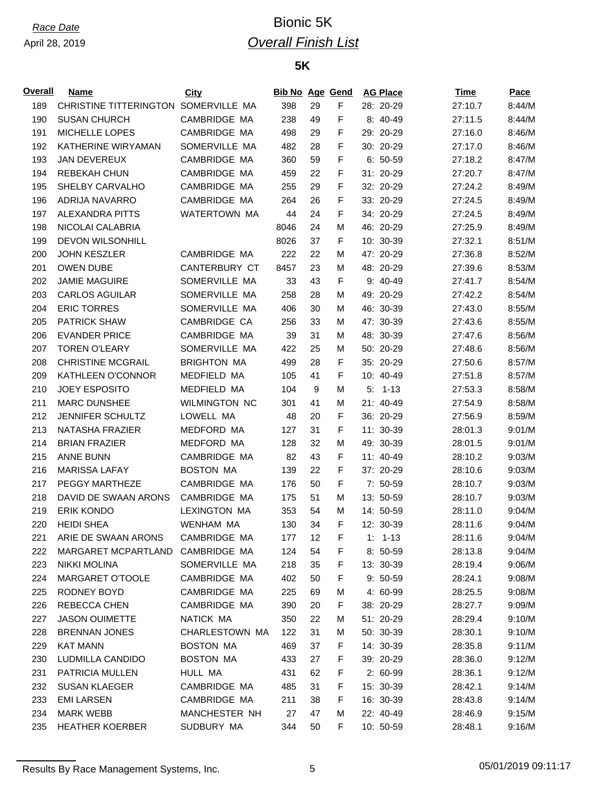## *Race Date* Bionic 5K *Overall Finish List*

### **5K**

| F<br>189<br>CHRISTINE TITTERINGTON<br>SOMERVILLE MA<br>398<br>29<br>28: 20-29<br>27:10.7<br>8:44/M<br>F<br>190<br><b>SUSAN CHURCH</b><br>CAMBRIDGE MA<br>238<br>8: 40-49<br>49<br>27:11.5<br>8:44/M<br>F<br>191<br>MICHELLE LOPES<br>CAMBRIDGE MA<br>29<br>29: 20-29<br>27:16.0<br>8:46/M<br>498<br>192<br>KATHERINE WIRYAMAN<br>SOMERVILLE MA<br>F<br>30: 20-29<br>8:46/M<br>482<br>28<br>27:17.0<br>F<br>193<br><b>JAN DEVEREUX</b><br>CAMBRIDGE MA<br>360<br>59<br>$6: 50-59$<br>8:47/M<br>27:18.2<br>F<br>194<br>REBEKAH CHUN<br>CAMBRIDGE MA<br>22<br>31: 20-29<br>8:47/M<br>459<br>27:20.7<br>CAMBRIDGE MA<br>F<br>195<br>SHELBY CARVALHO<br>29<br>32: 20-29<br>27:24.2<br>8:49/M<br>255<br>F<br>33: 20-29<br>196<br>ADRIJA NAVARRO<br>CAMBRIDGE MA<br>27:24.5<br>8:49/M<br>264<br>26<br>F<br>197<br><b>ALEXANDRA PITTS</b><br>WATERTOWN MA<br>44<br>34: 20-29<br>8:49/M<br>24<br>27:24.5<br>198<br>NICOLAI CALABRIA<br>24<br>46: 20-29<br>8:49/M<br>8046<br>М<br>27:25.9<br>199<br><b>DEVON WILSONHILL</b><br>8026<br>37<br>F<br>10: 30-39<br>8:51/M<br>27:32.1<br>200<br><b>JOHN KESZLER</b><br>CAMBRIDGE MA<br>222<br>22<br>47: 20-29<br>27:36.8<br>8:52/M<br>М<br>201<br><b>OWEN DUBE</b><br><b>CANTERBURY CT</b><br>8457<br>23<br>48: 20-29<br>8:53/M<br>М<br>27:39.6<br>SOMERVILLE MA<br>F<br>202<br><b>JAMIE MAGUIRE</b><br>33<br>43<br>9: 40-49<br>8:54/M<br>27:41.7<br>203<br><b>CARLOS AGUILAR</b><br>SOMERVILLE MA<br>258<br>49: 20-29<br>27:42.2<br>8:54/M<br>28<br>М<br>204<br><b>ERIC TORRES</b><br>SOMERVILLE MA<br>46: 30-39<br>8:55/M<br>406<br>30<br>27:43.0<br>м<br>205<br><b>PATRICK SHAW</b><br>CAMBRIDGE CA<br>33<br>47: 30-39<br>8:55/M<br>256<br>М<br>27:43.6<br>206<br><b>EVANDER PRICE</b><br>CAMBRIDGE MA<br>31<br>48: 30-39<br>8:56/M<br>39<br>27:47.6<br>м<br>SOMERVILLE MA<br>207<br><b>TOREN O'LEARY</b><br>422<br>25<br>50: 20-29<br>27:48.6<br>8:56/M<br>м<br>208<br><b>CHRISTINE MCGRAIL</b><br><b>BRIGHTON MA</b><br>28<br>F<br>35: 20-29<br>8:57/M<br>499<br>27:50.6<br>F<br>209<br>KATHLEEN O'CONNOR<br>MEDFIELD MA<br>105<br>41<br>10: 40-49<br>8:57/M<br>27:51.8<br>210<br><b>JOEY ESPOSITO</b><br>MEDFIELD MA<br>9<br>$5: 1-13$<br>27:53.3<br>8:58/M<br>104<br>М<br>211<br><b>MARC DUNSHEE</b><br><b>WILMINGTON NC</b><br>41<br>21: 40-49<br>8:58/M<br>301<br>М<br>27:54.9<br>212<br><b>JENNIFER SCHULTZ</b><br>LOWELL MA<br>F<br>36: 20-29<br>8:59/M<br>48<br>20<br>27:56.9<br>213<br>NATASHA FRAZIER<br>MEDFORD MA<br>31<br>F<br>11: 30-39<br>9:01/M<br>127<br>28:01.3<br>214<br><b>BRIAN FRAZIER</b><br>MEDFORD MA<br>32<br>49: 30-39<br>9:01/M<br>128<br>М<br>28:01.5<br>F<br>215<br><b>ANNE BUNN</b><br>CAMBRIDGE MA<br>82<br>43<br>11: 40-49<br>9:03/M<br>28:10.2<br>F<br>216<br><b>MARISSA LAFAY</b><br><b>BOSTON MA</b><br>22<br>37: 20-29<br>9:03/M<br>139<br>28:10.6<br>F<br>217<br>PEGGY MARTHEZE<br>CAMBRIDGE MA<br>50<br>9:03/M<br>176<br>$7:50-59$<br>28:10.7<br>218<br>DAVID DE SWAAN ARONS<br>CAMBRIDGE MA<br>51<br>13: 50-59<br>9:03/M<br>М<br>28:10.7<br>175<br>219<br><b>ERIK KONDO</b><br><b>LEXINGTON MA</b><br>353<br>14: 50-59<br>9:04/M<br>54<br>М<br>28:11.0<br><b>HEIDI SHEA</b><br><b>WENHAM MA</b><br>34<br>F<br>12: 30-39<br>9:04/M<br>220<br>130<br>28:11.6<br>ARIE DE SWAAN ARONS<br>CAMBRIDGE MA<br>F<br>177<br>12<br>$1: 1-13$<br>28:11.6<br>9:04/M<br>221<br>CAMBRIDGE MA<br>F<br>222<br>MARGARET MCPARTLAND<br>124<br>54<br>$8:50-59$<br>28:13.8<br>9:04/M<br>SOMERVILLE MA<br>35<br>223<br>NIKKI MOLINA<br>218<br>F<br>13: 30-39<br>28:19.4<br>9:06/M<br>MARGARET O'TOOLE<br>CAMBRIDGE MA<br>224<br>402<br>50<br>F<br>$9:50-59$<br>28:24.1<br>9:08/M<br>225<br>CAMBRIDGE MA<br>RODNEY BOYD<br>225<br>69<br>4: 60-99<br>9:08/M<br>м<br>28:25.5<br>226<br>REBECCA CHEN<br>CAMBRIDGE MA<br>390<br>20<br>F<br>38: 20-29<br>9:09/M<br>28:27.7<br><b>JASON OUIMETTE</b><br>227<br>NATICK MA<br>350<br>22<br>51: 20-29<br>28:29.4<br>9:10/M<br>M<br>CHARLESTOWN MA<br>31<br>228<br><b>BRENNAN JONES</b><br>122<br>50: 30-39<br>28:30.1<br>9:10/M<br>М<br>229<br>F<br><b>KAT MANN</b><br><b>BOSTON MA</b><br>469<br>37<br>14: 30-39<br>28:35.8<br>9:11/M<br>230<br>LUDMILLA CANDIDO<br><b>BOSTON MA</b><br>433<br>27<br>F<br>39: 20-29<br>28:36.0<br>9:12/M<br>HULL MA<br>F<br>231<br>PATRICIA MULLEN<br>431<br>62<br>$2:60-99$<br>28:36.1<br>9:12/M<br>CAMBRIDGE MA<br>31<br>232<br><b>SUSAN KLAEGER</b><br>485<br>F<br>15: 30-39<br>9:14/M<br>28:42.1<br>CAMBRIDGE MA<br>233<br><b>EMI LARSEN</b><br>211<br>38<br>F<br>16: 30-39<br>9:14/M<br>28:43.8<br>234<br><b>MARK WEBB</b><br>MANCHESTER NH<br>27<br>47<br>М<br>22: 40-49<br>9:15/M<br>28:46.9<br>SUDBURY MA<br>F<br>235<br><b>HEATHER KOERBER</b><br>344<br>50<br>10: 50-59<br>28:48.1<br>9:16/M | <u>Overall</u> | Name | City | <b>Bib No Age Gend</b> |  | <b>AG Place</b> | Time | Pace |
|-------------------------------------------------------------------------------------------------------------------------------------------------------------------------------------------------------------------------------------------------------------------------------------------------------------------------------------------------------------------------------------------------------------------------------------------------------------------------------------------------------------------------------------------------------------------------------------------------------------------------------------------------------------------------------------------------------------------------------------------------------------------------------------------------------------------------------------------------------------------------------------------------------------------------------------------------------------------------------------------------------------------------------------------------------------------------------------------------------------------------------------------------------------------------------------------------------------------------------------------------------------------------------------------------------------------------------------------------------------------------------------------------------------------------------------------------------------------------------------------------------------------------------------------------------------------------------------------------------------------------------------------------------------------------------------------------------------------------------------------------------------------------------------------------------------------------------------------------------------------------------------------------------------------------------------------------------------------------------------------------------------------------------------------------------------------------------------------------------------------------------------------------------------------------------------------------------------------------------------------------------------------------------------------------------------------------------------------------------------------------------------------------------------------------------------------------------------------------------------------------------------------------------------------------------------------------------------------------------------------------------------------------------------------------------------------------------------------------------------------------------------------------------------------------------------------------------------------------------------------------------------------------------------------------------------------------------------------------------------------------------------------------------------------------------------------------------------------------------------------------------------------------------------------------------------------------------------------------------------------------------------------------------------------------------------------------------------------------------------------------------------------------------------------------------------------------------------------------------------------------------------------------------------------------------------------------------------------------------------------------------------------------------------------------------------------------------------------------------------------------------------------------------------------------------------------------------------------------------------------------------------------------------------------------------------------------------------------------------------------------------------------------------------------------------------------------------------------------------------------------------------------------------------------------------------------------------------------------------------------------------------------------------------------------------------------------------------------------------------------------------------------------------------------------------------------------------------------------------------------------------------------------------------------------------------------------------------------------------------------------------------------------------------------------------------------------------------------------------------|----------------|------|------|------------------------|--|-----------------|------|------|
|                                                                                                                                                                                                                                                                                                                                                                                                                                                                                                                                                                                                                                                                                                                                                                                                                                                                                                                                                                                                                                                                                                                                                                                                                                                                                                                                                                                                                                                                                                                                                                                                                                                                                                                                                                                                                                                                                                                                                                                                                                                                                                                                                                                                                                                                                                                                                                                                                                                                                                                                                                                                                                                                                                                                                                                                                                                                                                                                                                                                                                                                                                                                                                                                                                                                                                                                                                                                                                                                                                                                                                                                                                                                                                                                                                                                                                                                                                                                                                                                                                                                                                                                                                                                                                                                                                                                                                                                                                                                                                                                                                                                                                                                                                                                     |                |      |      |                        |  |                 |      |      |
|                                                                                                                                                                                                                                                                                                                                                                                                                                                                                                                                                                                                                                                                                                                                                                                                                                                                                                                                                                                                                                                                                                                                                                                                                                                                                                                                                                                                                                                                                                                                                                                                                                                                                                                                                                                                                                                                                                                                                                                                                                                                                                                                                                                                                                                                                                                                                                                                                                                                                                                                                                                                                                                                                                                                                                                                                                                                                                                                                                                                                                                                                                                                                                                                                                                                                                                                                                                                                                                                                                                                                                                                                                                                                                                                                                                                                                                                                                                                                                                                                                                                                                                                                                                                                                                                                                                                                                                                                                                                                                                                                                                                                                                                                                                                     |                |      |      |                        |  |                 |      |      |
|                                                                                                                                                                                                                                                                                                                                                                                                                                                                                                                                                                                                                                                                                                                                                                                                                                                                                                                                                                                                                                                                                                                                                                                                                                                                                                                                                                                                                                                                                                                                                                                                                                                                                                                                                                                                                                                                                                                                                                                                                                                                                                                                                                                                                                                                                                                                                                                                                                                                                                                                                                                                                                                                                                                                                                                                                                                                                                                                                                                                                                                                                                                                                                                                                                                                                                                                                                                                                                                                                                                                                                                                                                                                                                                                                                                                                                                                                                                                                                                                                                                                                                                                                                                                                                                                                                                                                                                                                                                                                                                                                                                                                                                                                                                                     |                |      |      |                        |  |                 |      |      |
|                                                                                                                                                                                                                                                                                                                                                                                                                                                                                                                                                                                                                                                                                                                                                                                                                                                                                                                                                                                                                                                                                                                                                                                                                                                                                                                                                                                                                                                                                                                                                                                                                                                                                                                                                                                                                                                                                                                                                                                                                                                                                                                                                                                                                                                                                                                                                                                                                                                                                                                                                                                                                                                                                                                                                                                                                                                                                                                                                                                                                                                                                                                                                                                                                                                                                                                                                                                                                                                                                                                                                                                                                                                                                                                                                                                                                                                                                                                                                                                                                                                                                                                                                                                                                                                                                                                                                                                                                                                                                                                                                                                                                                                                                                                                     |                |      |      |                        |  |                 |      |      |
|                                                                                                                                                                                                                                                                                                                                                                                                                                                                                                                                                                                                                                                                                                                                                                                                                                                                                                                                                                                                                                                                                                                                                                                                                                                                                                                                                                                                                                                                                                                                                                                                                                                                                                                                                                                                                                                                                                                                                                                                                                                                                                                                                                                                                                                                                                                                                                                                                                                                                                                                                                                                                                                                                                                                                                                                                                                                                                                                                                                                                                                                                                                                                                                                                                                                                                                                                                                                                                                                                                                                                                                                                                                                                                                                                                                                                                                                                                                                                                                                                                                                                                                                                                                                                                                                                                                                                                                                                                                                                                                                                                                                                                                                                                                                     |                |      |      |                        |  |                 |      |      |
|                                                                                                                                                                                                                                                                                                                                                                                                                                                                                                                                                                                                                                                                                                                                                                                                                                                                                                                                                                                                                                                                                                                                                                                                                                                                                                                                                                                                                                                                                                                                                                                                                                                                                                                                                                                                                                                                                                                                                                                                                                                                                                                                                                                                                                                                                                                                                                                                                                                                                                                                                                                                                                                                                                                                                                                                                                                                                                                                                                                                                                                                                                                                                                                                                                                                                                                                                                                                                                                                                                                                                                                                                                                                                                                                                                                                                                                                                                                                                                                                                                                                                                                                                                                                                                                                                                                                                                                                                                                                                                                                                                                                                                                                                                                                     |                |      |      |                        |  |                 |      |      |
|                                                                                                                                                                                                                                                                                                                                                                                                                                                                                                                                                                                                                                                                                                                                                                                                                                                                                                                                                                                                                                                                                                                                                                                                                                                                                                                                                                                                                                                                                                                                                                                                                                                                                                                                                                                                                                                                                                                                                                                                                                                                                                                                                                                                                                                                                                                                                                                                                                                                                                                                                                                                                                                                                                                                                                                                                                                                                                                                                                                                                                                                                                                                                                                                                                                                                                                                                                                                                                                                                                                                                                                                                                                                                                                                                                                                                                                                                                                                                                                                                                                                                                                                                                                                                                                                                                                                                                                                                                                                                                                                                                                                                                                                                                                                     |                |      |      |                        |  |                 |      |      |
|                                                                                                                                                                                                                                                                                                                                                                                                                                                                                                                                                                                                                                                                                                                                                                                                                                                                                                                                                                                                                                                                                                                                                                                                                                                                                                                                                                                                                                                                                                                                                                                                                                                                                                                                                                                                                                                                                                                                                                                                                                                                                                                                                                                                                                                                                                                                                                                                                                                                                                                                                                                                                                                                                                                                                                                                                                                                                                                                                                                                                                                                                                                                                                                                                                                                                                                                                                                                                                                                                                                                                                                                                                                                                                                                                                                                                                                                                                                                                                                                                                                                                                                                                                                                                                                                                                                                                                                                                                                                                                                                                                                                                                                                                                                                     |                |      |      |                        |  |                 |      |      |
|                                                                                                                                                                                                                                                                                                                                                                                                                                                                                                                                                                                                                                                                                                                                                                                                                                                                                                                                                                                                                                                                                                                                                                                                                                                                                                                                                                                                                                                                                                                                                                                                                                                                                                                                                                                                                                                                                                                                                                                                                                                                                                                                                                                                                                                                                                                                                                                                                                                                                                                                                                                                                                                                                                                                                                                                                                                                                                                                                                                                                                                                                                                                                                                                                                                                                                                                                                                                                                                                                                                                                                                                                                                                                                                                                                                                                                                                                                                                                                                                                                                                                                                                                                                                                                                                                                                                                                                                                                                                                                                                                                                                                                                                                                                                     |                |      |      |                        |  |                 |      |      |
|                                                                                                                                                                                                                                                                                                                                                                                                                                                                                                                                                                                                                                                                                                                                                                                                                                                                                                                                                                                                                                                                                                                                                                                                                                                                                                                                                                                                                                                                                                                                                                                                                                                                                                                                                                                                                                                                                                                                                                                                                                                                                                                                                                                                                                                                                                                                                                                                                                                                                                                                                                                                                                                                                                                                                                                                                                                                                                                                                                                                                                                                                                                                                                                                                                                                                                                                                                                                                                                                                                                                                                                                                                                                                                                                                                                                                                                                                                                                                                                                                                                                                                                                                                                                                                                                                                                                                                                                                                                                                                                                                                                                                                                                                                                                     |                |      |      |                        |  |                 |      |      |
|                                                                                                                                                                                                                                                                                                                                                                                                                                                                                                                                                                                                                                                                                                                                                                                                                                                                                                                                                                                                                                                                                                                                                                                                                                                                                                                                                                                                                                                                                                                                                                                                                                                                                                                                                                                                                                                                                                                                                                                                                                                                                                                                                                                                                                                                                                                                                                                                                                                                                                                                                                                                                                                                                                                                                                                                                                                                                                                                                                                                                                                                                                                                                                                                                                                                                                                                                                                                                                                                                                                                                                                                                                                                                                                                                                                                                                                                                                                                                                                                                                                                                                                                                                                                                                                                                                                                                                                                                                                                                                                                                                                                                                                                                                                                     |                |      |      |                        |  |                 |      |      |
|                                                                                                                                                                                                                                                                                                                                                                                                                                                                                                                                                                                                                                                                                                                                                                                                                                                                                                                                                                                                                                                                                                                                                                                                                                                                                                                                                                                                                                                                                                                                                                                                                                                                                                                                                                                                                                                                                                                                                                                                                                                                                                                                                                                                                                                                                                                                                                                                                                                                                                                                                                                                                                                                                                                                                                                                                                                                                                                                                                                                                                                                                                                                                                                                                                                                                                                                                                                                                                                                                                                                                                                                                                                                                                                                                                                                                                                                                                                                                                                                                                                                                                                                                                                                                                                                                                                                                                                                                                                                                                                                                                                                                                                                                                                                     |                |      |      |                        |  |                 |      |      |
|                                                                                                                                                                                                                                                                                                                                                                                                                                                                                                                                                                                                                                                                                                                                                                                                                                                                                                                                                                                                                                                                                                                                                                                                                                                                                                                                                                                                                                                                                                                                                                                                                                                                                                                                                                                                                                                                                                                                                                                                                                                                                                                                                                                                                                                                                                                                                                                                                                                                                                                                                                                                                                                                                                                                                                                                                                                                                                                                                                                                                                                                                                                                                                                                                                                                                                                                                                                                                                                                                                                                                                                                                                                                                                                                                                                                                                                                                                                                                                                                                                                                                                                                                                                                                                                                                                                                                                                                                                                                                                                                                                                                                                                                                                                                     |                |      |      |                        |  |                 |      |      |
|                                                                                                                                                                                                                                                                                                                                                                                                                                                                                                                                                                                                                                                                                                                                                                                                                                                                                                                                                                                                                                                                                                                                                                                                                                                                                                                                                                                                                                                                                                                                                                                                                                                                                                                                                                                                                                                                                                                                                                                                                                                                                                                                                                                                                                                                                                                                                                                                                                                                                                                                                                                                                                                                                                                                                                                                                                                                                                                                                                                                                                                                                                                                                                                                                                                                                                                                                                                                                                                                                                                                                                                                                                                                                                                                                                                                                                                                                                                                                                                                                                                                                                                                                                                                                                                                                                                                                                                                                                                                                                                                                                                                                                                                                                                                     |                |      |      |                        |  |                 |      |      |
|                                                                                                                                                                                                                                                                                                                                                                                                                                                                                                                                                                                                                                                                                                                                                                                                                                                                                                                                                                                                                                                                                                                                                                                                                                                                                                                                                                                                                                                                                                                                                                                                                                                                                                                                                                                                                                                                                                                                                                                                                                                                                                                                                                                                                                                                                                                                                                                                                                                                                                                                                                                                                                                                                                                                                                                                                                                                                                                                                                                                                                                                                                                                                                                                                                                                                                                                                                                                                                                                                                                                                                                                                                                                                                                                                                                                                                                                                                                                                                                                                                                                                                                                                                                                                                                                                                                                                                                                                                                                                                                                                                                                                                                                                                                                     |                |      |      |                        |  |                 |      |      |
|                                                                                                                                                                                                                                                                                                                                                                                                                                                                                                                                                                                                                                                                                                                                                                                                                                                                                                                                                                                                                                                                                                                                                                                                                                                                                                                                                                                                                                                                                                                                                                                                                                                                                                                                                                                                                                                                                                                                                                                                                                                                                                                                                                                                                                                                                                                                                                                                                                                                                                                                                                                                                                                                                                                                                                                                                                                                                                                                                                                                                                                                                                                                                                                                                                                                                                                                                                                                                                                                                                                                                                                                                                                                                                                                                                                                                                                                                                                                                                                                                                                                                                                                                                                                                                                                                                                                                                                                                                                                                                                                                                                                                                                                                                                                     |                |      |      |                        |  |                 |      |      |
|                                                                                                                                                                                                                                                                                                                                                                                                                                                                                                                                                                                                                                                                                                                                                                                                                                                                                                                                                                                                                                                                                                                                                                                                                                                                                                                                                                                                                                                                                                                                                                                                                                                                                                                                                                                                                                                                                                                                                                                                                                                                                                                                                                                                                                                                                                                                                                                                                                                                                                                                                                                                                                                                                                                                                                                                                                                                                                                                                                                                                                                                                                                                                                                                                                                                                                                                                                                                                                                                                                                                                                                                                                                                                                                                                                                                                                                                                                                                                                                                                                                                                                                                                                                                                                                                                                                                                                                                                                                                                                                                                                                                                                                                                                                                     |                |      |      |                        |  |                 |      |      |
|                                                                                                                                                                                                                                                                                                                                                                                                                                                                                                                                                                                                                                                                                                                                                                                                                                                                                                                                                                                                                                                                                                                                                                                                                                                                                                                                                                                                                                                                                                                                                                                                                                                                                                                                                                                                                                                                                                                                                                                                                                                                                                                                                                                                                                                                                                                                                                                                                                                                                                                                                                                                                                                                                                                                                                                                                                                                                                                                                                                                                                                                                                                                                                                                                                                                                                                                                                                                                                                                                                                                                                                                                                                                                                                                                                                                                                                                                                                                                                                                                                                                                                                                                                                                                                                                                                                                                                                                                                                                                                                                                                                                                                                                                                                                     |                |      |      |                        |  |                 |      |      |
|                                                                                                                                                                                                                                                                                                                                                                                                                                                                                                                                                                                                                                                                                                                                                                                                                                                                                                                                                                                                                                                                                                                                                                                                                                                                                                                                                                                                                                                                                                                                                                                                                                                                                                                                                                                                                                                                                                                                                                                                                                                                                                                                                                                                                                                                                                                                                                                                                                                                                                                                                                                                                                                                                                                                                                                                                                                                                                                                                                                                                                                                                                                                                                                                                                                                                                                                                                                                                                                                                                                                                                                                                                                                                                                                                                                                                                                                                                                                                                                                                                                                                                                                                                                                                                                                                                                                                                                                                                                                                                                                                                                                                                                                                                                                     |                |      |      |                        |  |                 |      |      |
|                                                                                                                                                                                                                                                                                                                                                                                                                                                                                                                                                                                                                                                                                                                                                                                                                                                                                                                                                                                                                                                                                                                                                                                                                                                                                                                                                                                                                                                                                                                                                                                                                                                                                                                                                                                                                                                                                                                                                                                                                                                                                                                                                                                                                                                                                                                                                                                                                                                                                                                                                                                                                                                                                                                                                                                                                                                                                                                                                                                                                                                                                                                                                                                                                                                                                                                                                                                                                                                                                                                                                                                                                                                                                                                                                                                                                                                                                                                                                                                                                                                                                                                                                                                                                                                                                                                                                                                                                                                                                                                                                                                                                                                                                                                                     |                |      |      |                        |  |                 |      |      |
|                                                                                                                                                                                                                                                                                                                                                                                                                                                                                                                                                                                                                                                                                                                                                                                                                                                                                                                                                                                                                                                                                                                                                                                                                                                                                                                                                                                                                                                                                                                                                                                                                                                                                                                                                                                                                                                                                                                                                                                                                                                                                                                                                                                                                                                                                                                                                                                                                                                                                                                                                                                                                                                                                                                                                                                                                                                                                                                                                                                                                                                                                                                                                                                                                                                                                                                                                                                                                                                                                                                                                                                                                                                                                                                                                                                                                                                                                                                                                                                                                                                                                                                                                                                                                                                                                                                                                                                                                                                                                                                                                                                                                                                                                                                                     |                |      |      |                        |  |                 |      |      |
|                                                                                                                                                                                                                                                                                                                                                                                                                                                                                                                                                                                                                                                                                                                                                                                                                                                                                                                                                                                                                                                                                                                                                                                                                                                                                                                                                                                                                                                                                                                                                                                                                                                                                                                                                                                                                                                                                                                                                                                                                                                                                                                                                                                                                                                                                                                                                                                                                                                                                                                                                                                                                                                                                                                                                                                                                                                                                                                                                                                                                                                                                                                                                                                                                                                                                                                                                                                                                                                                                                                                                                                                                                                                                                                                                                                                                                                                                                                                                                                                                                                                                                                                                                                                                                                                                                                                                                                                                                                                                                                                                                                                                                                                                                                                     |                |      |      |                        |  |                 |      |      |
|                                                                                                                                                                                                                                                                                                                                                                                                                                                                                                                                                                                                                                                                                                                                                                                                                                                                                                                                                                                                                                                                                                                                                                                                                                                                                                                                                                                                                                                                                                                                                                                                                                                                                                                                                                                                                                                                                                                                                                                                                                                                                                                                                                                                                                                                                                                                                                                                                                                                                                                                                                                                                                                                                                                                                                                                                                                                                                                                                                                                                                                                                                                                                                                                                                                                                                                                                                                                                                                                                                                                                                                                                                                                                                                                                                                                                                                                                                                                                                                                                                                                                                                                                                                                                                                                                                                                                                                                                                                                                                                                                                                                                                                                                                                                     |                |      |      |                        |  |                 |      |      |
|                                                                                                                                                                                                                                                                                                                                                                                                                                                                                                                                                                                                                                                                                                                                                                                                                                                                                                                                                                                                                                                                                                                                                                                                                                                                                                                                                                                                                                                                                                                                                                                                                                                                                                                                                                                                                                                                                                                                                                                                                                                                                                                                                                                                                                                                                                                                                                                                                                                                                                                                                                                                                                                                                                                                                                                                                                                                                                                                                                                                                                                                                                                                                                                                                                                                                                                                                                                                                                                                                                                                                                                                                                                                                                                                                                                                                                                                                                                                                                                                                                                                                                                                                                                                                                                                                                                                                                                                                                                                                                                                                                                                                                                                                                                                     |                |      |      |                        |  |                 |      |      |
|                                                                                                                                                                                                                                                                                                                                                                                                                                                                                                                                                                                                                                                                                                                                                                                                                                                                                                                                                                                                                                                                                                                                                                                                                                                                                                                                                                                                                                                                                                                                                                                                                                                                                                                                                                                                                                                                                                                                                                                                                                                                                                                                                                                                                                                                                                                                                                                                                                                                                                                                                                                                                                                                                                                                                                                                                                                                                                                                                                                                                                                                                                                                                                                                                                                                                                                                                                                                                                                                                                                                                                                                                                                                                                                                                                                                                                                                                                                                                                                                                                                                                                                                                                                                                                                                                                                                                                                                                                                                                                                                                                                                                                                                                                                                     |                |      |      |                        |  |                 |      |      |
|                                                                                                                                                                                                                                                                                                                                                                                                                                                                                                                                                                                                                                                                                                                                                                                                                                                                                                                                                                                                                                                                                                                                                                                                                                                                                                                                                                                                                                                                                                                                                                                                                                                                                                                                                                                                                                                                                                                                                                                                                                                                                                                                                                                                                                                                                                                                                                                                                                                                                                                                                                                                                                                                                                                                                                                                                                                                                                                                                                                                                                                                                                                                                                                                                                                                                                                                                                                                                                                                                                                                                                                                                                                                                                                                                                                                                                                                                                                                                                                                                                                                                                                                                                                                                                                                                                                                                                                                                                                                                                                                                                                                                                                                                                                                     |                |      |      |                        |  |                 |      |      |
|                                                                                                                                                                                                                                                                                                                                                                                                                                                                                                                                                                                                                                                                                                                                                                                                                                                                                                                                                                                                                                                                                                                                                                                                                                                                                                                                                                                                                                                                                                                                                                                                                                                                                                                                                                                                                                                                                                                                                                                                                                                                                                                                                                                                                                                                                                                                                                                                                                                                                                                                                                                                                                                                                                                                                                                                                                                                                                                                                                                                                                                                                                                                                                                                                                                                                                                                                                                                                                                                                                                                                                                                                                                                                                                                                                                                                                                                                                                                                                                                                                                                                                                                                                                                                                                                                                                                                                                                                                                                                                                                                                                                                                                                                                                                     |                |      |      |                        |  |                 |      |      |
|                                                                                                                                                                                                                                                                                                                                                                                                                                                                                                                                                                                                                                                                                                                                                                                                                                                                                                                                                                                                                                                                                                                                                                                                                                                                                                                                                                                                                                                                                                                                                                                                                                                                                                                                                                                                                                                                                                                                                                                                                                                                                                                                                                                                                                                                                                                                                                                                                                                                                                                                                                                                                                                                                                                                                                                                                                                                                                                                                                                                                                                                                                                                                                                                                                                                                                                                                                                                                                                                                                                                                                                                                                                                                                                                                                                                                                                                                                                                                                                                                                                                                                                                                                                                                                                                                                                                                                                                                                                                                                                                                                                                                                                                                                                                     |                |      |      |                        |  |                 |      |      |
|                                                                                                                                                                                                                                                                                                                                                                                                                                                                                                                                                                                                                                                                                                                                                                                                                                                                                                                                                                                                                                                                                                                                                                                                                                                                                                                                                                                                                                                                                                                                                                                                                                                                                                                                                                                                                                                                                                                                                                                                                                                                                                                                                                                                                                                                                                                                                                                                                                                                                                                                                                                                                                                                                                                                                                                                                                                                                                                                                                                                                                                                                                                                                                                                                                                                                                                                                                                                                                                                                                                                                                                                                                                                                                                                                                                                                                                                                                                                                                                                                                                                                                                                                                                                                                                                                                                                                                                                                                                                                                                                                                                                                                                                                                                                     |                |      |      |                        |  |                 |      |      |
|                                                                                                                                                                                                                                                                                                                                                                                                                                                                                                                                                                                                                                                                                                                                                                                                                                                                                                                                                                                                                                                                                                                                                                                                                                                                                                                                                                                                                                                                                                                                                                                                                                                                                                                                                                                                                                                                                                                                                                                                                                                                                                                                                                                                                                                                                                                                                                                                                                                                                                                                                                                                                                                                                                                                                                                                                                                                                                                                                                                                                                                                                                                                                                                                                                                                                                                                                                                                                                                                                                                                                                                                                                                                                                                                                                                                                                                                                                                                                                                                                                                                                                                                                                                                                                                                                                                                                                                                                                                                                                                                                                                                                                                                                                                                     |                |      |      |                        |  |                 |      |      |
|                                                                                                                                                                                                                                                                                                                                                                                                                                                                                                                                                                                                                                                                                                                                                                                                                                                                                                                                                                                                                                                                                                                                                                                                                                                                                                                                                                                                                                                                                                                                                                                                                                                                                                                                                                                                                                                                                                                                                                                                                                                                                                                                                                                                                                                                                                                                                                                                                                                                                                                                                                                                                                                                                                                                                                                                                                                                                                                                                                                                                                                                                                                                                                                                                                                                                                                                                                                                                                                                                                                                                                                                                                                                                                                                                                                                                                                                                                                                                                                                                                                                                                                                                                                                                                                                                                                                                                                                                                                                                                                                                                                                                                                                                                                                     |                |      |      |                        |  |                 |      |      |
|                                                                                                                                                                                                                                                                                                                                                                                                                                                                                                                                                                                                                                                                                                                                                                                                                                                                                                                                                                                                                                                                                                                                                                                                                                                                                                                                                                                                                                                                                                                                                                                                                                                                                                                                                                                                                                                                                                                                                                                                                                                                                                                                                                                                                                                                                                                                                                                                                                                                                                                                                                                                                                                                                                                                                                                                                                                                                                                                                                                                                                                                                                                                                                                                                                                                                                                                                                                                                                                                                                                                                                                                                                                                                                                                                                                                                                                                                                                                                                                                                                                                                                                                                                                                                                                                                                                                                                                                                                                                                                                                                                                                                                                                                                                                     |                |      |      |                        |  |                 |      |      |
|                                                                                                                                                                                                                                                                                                                                                                                                                                                                                                                                                                                                                                                                                                                                                                                                                                                                                                                                                                                                                                                                                                                                                                                                                                                                                                                                                                                                                                                                                                                                                                                                                                                                                                                                                                                                                                                                                                                                                                                                                                                                                                                                                                                                                                                                                                                                                                                                                                                                                                                                                                                                                                                                                                                                                                                                                                                                                                                                                                                                                                                                                                                                                                                                                                                                                                                                                                                                                                                                                                                                                                                                                                                                                                                                                                                                                                                                                                                                                                                                                                                                                                                                                                                                                                                                                                                                                                                                                                                                                                                                                                                                                                                                                                                                     |                |      |      |                        |  |                 |      |      |
|                                                                                                                                                                                                                                                                                                                                                                                                                                                                                                                                                                                                                                                                                                                                                                                                                                                                                                                                                                                                                                                                                                                                                                                                                                                                                                                                                                                                                                                                                                                                                                                                                                                                                                                                                                                                                                                                                                                                                                                                                                                                                                                                                                                                                                                                                                                                                                                                                                                                                                                                                                                                                                                                                                                                                                                                                                                                                                                                                                                                                                                                                                                                                                                                                                                                                                                                                                                                                                                                                                                                                                                                                                                                                                                                                                                                                                                                                                                                                                                                                                                                                                                                                                                                                                                                                                                                                                                                                                                                                                                                                                                                                                                                                                                                     |                |      |      |                        |  |                 |      |      |
|                                                                                                                                                                                                                                                                                                                                                                                                                                                                                                                                                                                                                                                                                                                                                                                                                                                                                                                                                                                                                                                                                                                                                                                                                                                                                                                                                                                                                                                                                                                                                                                                                                                                                                                                                                                                                                                                                                                                                                                                                                                                                                                                                                                                                                                                                                                                                                                                                                                                                                                                                                                                                                                                                                                                                                                                                                                                                                                                                                                                                                                                                                                                                                                                                                                                                                                                                                                                                                                                                                                                                                                                                                                                                                                                                                                                                                                                                                                                                                                                                                                                                                                                                                                                                                                                                                                                                                                                                                                                                                                                                                                                                                                                                                                                     |                |      |      |                        |  |                 |      |      |
|                                                                                                                                                                                                                                                                                                                                                                                                                                                                                                                                                                                                                                                                                                                                                                                                                                                                                                                                                                                                                                                                                                                                                                                                                                                                                                                                                                                                                                                                                                                                                                                                                                                                                                                                                                                                                                                                                                                                                                                                                                                                                                                                                                                                                                                                                                                                                                                                                                                                                                                                                                                                                                                                                                                                                                                                                                                                                                                                                                                                                                                                                                                                                                                                                                                                                                                                                                                                                                                                                                                                                                                                                                                                                                                                                                                                                                                                                                                                                                                                                                                                                                                                                                                                                                                                                                                                                                                                                                                                                                                                                                                                                                                                                                                                     |                |      |      |                        |  |                 |      |      |
|                                                                                                                                                                                                                                                                                                                                                                                                                                                                                                                                                                                                                                                                                                                                                                                                                                                                                                                                                                                                                                                                                                                                                                                                                                                                                                                                                                                                                                                                                                                                                                                                                                                                                                                                                                                                                                                                                                                                                                                                                                                                                                                                                                                                                                                                                                                                                                                                                                                                                                                                                                                                                                                                                                                                                                                                                                                                                                                                                                                                                                                                                                                                                                                                                                                                                                                                                                                                                                                                                                                                                                                                                                                                                                                                                                                                                                                                                                                                                                                                                                                                                                                                                                                                                                                                                                                                                                                                                                                                                                                                                                                                                                                                                                                                     |                |      |      |                        |  |                 |      |      |
|                                                                                                                                                                                                                                                                                                                                                                                                                                                                                                                                                                                                                                                                                                                                                                                                                                                                                                                                                                                                                                                                                                                                                                                                                                                                                                                                                                                                                                                                                                                                                                                                                                                                                                                                                                                                                                                                                                                                                                                                                                                                                                                                                                                                                                                                                                                                                                                                                                                                                                                                                                                                                                                                                                                                                                                                                                                                                                                                                                                                                                                                                                                                                                                                                                                                                                                                                                                                                                                                                                                                                                                                                                                                                                                                                                                                                                                                                                                                                                                                                                                                                                                                                                                                                                                                                                                                                                                                                                                                                                                                                                                                                                                                                                                                     |                |      |      |                        |  |                 |      |      |
|                                                                                                                                                                                                                                                                                                                                                                                                                                                                                                                                                                                                                                                                                                                                                                                                                                                                                                                                                                                                                                                                                                                                                                                                                                                                                                                                                                                                                                                                                                                                                                                                                                                                                                                                                                                                                                                                                                                                                                                                                                                                                                                                                                                                                                                                                                                                                                                                                                                                                                                                                                                                                                                                                                                                                                                                                                                                                                                                                                                                                                                                                                                                                                                                                                                                                                                                                                                                                                                                                                                                                                                                                                                                                                                                                                                                                                                                                                                                                                                                                                                                                                                                                                                                                                                                                                                                                                                                                                                                                                                                                                                                                                                                                                                                     |                |      |      |                        |  |                 |      |      |
|                                                                                                                                                                                                                                                                                                                                                                                                                                                                                                                                                                                                                                                                                                                                                                                                                                                                                                                                                                                                                                                                                                                                                                                                                                                                                                                                                                                                                                                                                                                                                                                                                                                                                                                                                                                                                                                                                                                                                                                                                                                                                                                                                                                                                                                                                                                                                                                                                                                                                                                                                                                                                                                                                                                                                                                                                                                                                                                                                                                                                                                                                                                                                                                                                                                                                                                                                                                                                                                                                                                                                                                                                                                                                                                                                                                                                                                                                                                                                                                                                                                                                                                                                                                                                                                                                                                                                                                                                                                                                                                                                                                                                                                                                                                                     |                |      |      |                        |  |                 |      |      |
|                                                                                                                                                                                                                                                                                                                                                                                                                                                                                                                                                                                                                                                                                                                                                                                                                                                                                                                                                                                                                                                                                                                                                                                                                                                                                                                                                                                                                                                                                                                                                                                                                                                                                                                                                                                                                                                                                                                                                                                                                                                                                                                                                                                                                                                                                                                                                                                                                                                                                                                                                                                                                                                                                                                                                                                                                                                                                                                                                                                                                                                                                                                                                                                                                                                                                                                                                                                                                                                                                                                                                                                                                                                                                                                                                                                                                                                                                                                                                                                                                                                                                                                                                                                                                                                                                                                                                                                                                                                                                                                                                                                                                                                                                                                                     |                |      |      |                        |  |                 |      |      |
|                                                                                                                                                                                                                                                                                                                                                                                                                                                                                                                                                                                                                                                                                                                                                                                                                                                                                                                                                                                                                                                                                                                                                                                                                                                                                                                                                                                                                                                                                                                                                                                                                                                                                                                                                                                                                                                                                                                                                                                                                                                                                                                                                                                                                                                                                                                                                                                                                                                                                                                                                                                                                                                                                                                                                                                                                                                                                                                                                                                                                                                                                                                                                                                                                                                                                                                                                                                                                                                                                                                                                                                                                                                                                                                                                                                                                                                                                                                                                                                                                                                                                                                                                                                                                                                                                                                                                                                                                                                                                                                                                                                                                                                                                                                                     |                |      |      |                        |  |                 |      |      |
|                                                                                                                                                                                                                                                                                                                                                                                                                                                                                                                                                                                                                                                                                                                                                                                                                                                                                                                                                                                                                                                                                                                                                                                                                                                                                                                                                                                                                                                                                                                                                                                                                                                                                                                                                                                                                                                                                                                                                                                                                                                                                                                                                                                                                                                                                                                                                                                                                                                                                                                                                                                                                                                                                                                                                                                                                                                                                                                                                                                                                                                                                                                                                                                                                                                                                                                                                                                                                                                                                                                                                                                                                                                                                                                                                                                                                                                                                                                                                                                                                                                                                                                                                                                                                                                                                                                                                                                                                                                                                                                                                                                                                                                                                                                                     |                |      |      |                        |  |                 |      |      |
|                                                                                                                                                                                                                                                                                                                                                                                                                                                                                                                                                                                                                                                                                                                                                                                                                                                                                                                                                                                                                                                                                                                                                                                                                                                                                                                                                                                                                                                                                                                                                                                                                                                                                                                                                                                                                                                                                                                                                                                                                                                                                                                                                                                                                                                                                                                                                                                                                                                                                                                                                                                                                                                                                                                                                                                                                                                                                                                                                                                                                                                                                                                                                                                                                                                                                                                                                                                                                                                                                                                                                                                                                                                                                                                                                                                                                                                                                                                                                                                                                                                                                                                                                                                                                                                                                                                                                                                                                                                                                                                                                                                                                                                                                                                                     |                |      |      |                        |  |                 |      |      |
|                                                                                                                                                                                                                                                                                                                                                                                                                                                                                                                                                                                                                                                                                                                                                                                                                                                                                                                                                                                                                                                                                                                                                                                                                                                                                                                                                                                                                                                                                                                                                                                                                                                                                                                                                                                                                                                                                                                                                                                                                                                                                                                                                                                                                                                                                                                                                                                                                                                                                                                                                                                                                                                                                                                                                                                                                                                                                                                                                                                                                                                                                                                                                                                                                                                                                                                                                                                                                                                                                                                                                                                                                                                                                                                                                                                                                                                                                                                                                                                                                                                                                                                                                                                                                                                                                                                                                                                                                                                                                                                                                                                                                                                                                                                                     |                |      |      |                        |  |                 |      |      |
|                                                                                                                                                                                                                                                                                                                                                                                                                                                                                                                                                                                                                                                                                                                                                                                                                                                                                                                                                                                                                                                                                                                                                                                                                                                                                                                                                                                                                                                                                                                                                                                                                                                                                                                                                                                                                                                                                                                                                                                                                                                                                                                                                                                                                                                                                                                                                                                                                                                                                                                                                                                                                                                                                                                                                                                                                                                                                                                                                                                                                                                                                                                                                                                                                                                                                                                                                                                                                                                                                                                                                                                                                                                                                                                                                                                                                                                                                                                                                                                                                                                                                                                                                                                                                                                                                                                                                                                                                                                                                                                                                                                                                                                                                                                                     |                |      |      |                        |  |                 |      |      |
|                                                                                                                                                                                                                                                                                                                                                                                                                                                                                                                                                                                                                                                                                                                                                                                                                                                                                                                                                                                                                                                                                                                                                                                                                                                                                                                                                                                                                                                                                                                                                                                                                                                                                                                                                                                                                                                                                                                                                                                                                                                                                                                                                                                                                                                                                                                                                                                                                                                                                                                                                                                                                                                                                                                                                                                                                                                                                                                                                                                                                                                                                                                                                                                                                                                                                                                                                                                                                                                                                                                                                                                                                                                                                                                                                                                                                                                                                                                                                                                                                                                                                                                                                                                                                                                                                                                                                                                                                                                                                                                                                                                                                                                                                                                                     |                |      |      |                        |  |                 |      |      |

Results By Race Management Systems, Inc. 6 05/01/2019 09:11:17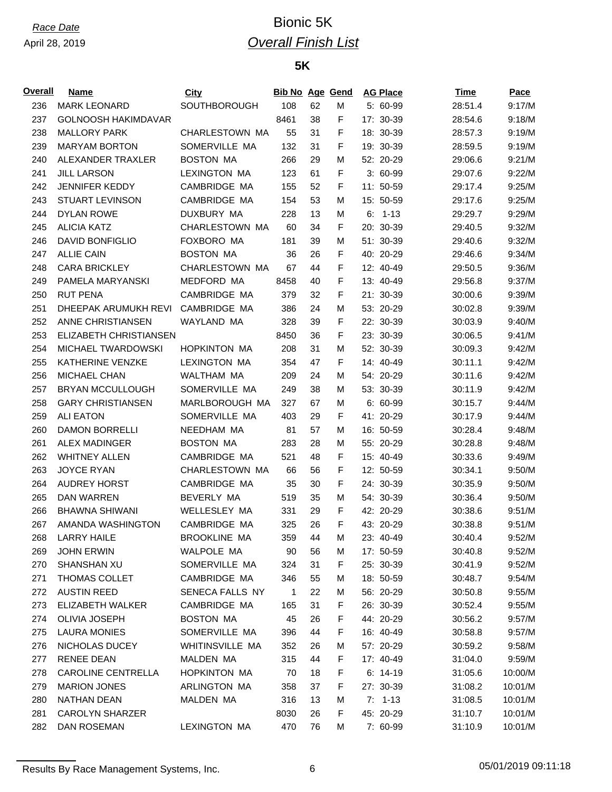## *Race Date* Bionic 5K *Overall Finish List*

### **5K**

| <u>Overall</u> | Name                       | <b>City</b>                  | <b>Bib No Age Gend</b> |    |   | <b>AG Place</b> | <b>Time</b> | Pace    |
|----------------|----------------------------|------------------------------|------------------------|----|---|-----------------|-------------|---------|
| 236            | <b>MARK LEONARD</b>        | <b>SOUTHBOROUGH</b>          | 108                    | 62 | M | 5: 60-99        | 28:51.4     | 9:17/M  |
| 237            | <b>GOLNOOSH HAKIMDAVAR</b> |                              | 8461                   | 38 | F | 17: 30-39       | 28:54.6     | 9:18/M  |
| 238            | <b>MALLORY PARK</b>        | CHARLESTOWN MA               | 55                     | 31 | F | 18: 30-39       | 28:57.3     | 9:19/M  |
| 239            | <b>MARYAM BORTON</b>       | SOMERVILLE MA                | 132                    | 31 | F | 19: 30-39       | 28:59.5     | 9:19/M  |
| 240            | ALEXANDER TRAXLER          | <b>BOSTON MA</b>             | 266                    | 29 | M | 52: 20-29       | 29:06.6     | 9:21/M  |
| 241            | <b>JILL LARSON</b>         | <b>LEXINGTON MA</b>          | 123                    | 61 | F | $3:60-99$       | 29:07.6     | 9:22/M  |
| 242            | <b>JENNIFER KEDDY</b>      | CAMBRIDGE MA                 | 155                    | 52 | F | 11: 50-59       | 29:17.4     | 9:25/M  |
| 243            | <b>STUART LEVINSON</b>     | CAMBRIDGE MA                 | 154                    | 53 | м | 15: 50-59       | 29:17.6     | 9:25/M  |
| 244            | <b>DYLAN ROWE</b>          | DUXBURY MA                   | 228                    | 13 | М | $6: 1-13$       | 29:29.7     | 9:29/M  |
| 245            | <b>ALICIA KATZ</b>         | CHARLESTOWN MA               | 60                     | 34 | F | 20: 30-39       | 29:40.5     | 9:32/M  |
| 246            | <b>DAVID BONFIGLIO</b>     | FOXBORO MA                   | 181                    | 39 | М | 51: 30-39       | 29:40.6     | 9:32/M  |
| 247            | <b>ALLIE CAIN</b>          | <b>BOSTON MA</b>             | 36                     | 26 | F | 40: 20-29       | 29:46.6     | 9:34/M  |
| 248            | <b>CARA BRICKLEY</b>       | CHARLESTOWN MA               | 67                     | 44 | F | 12: 40-49       | 29:50.5     | 9:36/M  |
| 249            | PAMELA MARYANSKI           | MEDFORD MA                   | 8458                   | 40 | F | 13: 40-49       | 29:56.8     | 9:37/M  |
| 250            | <b>RUT PENA</b>            | CAMBRIDGE MA                 | 379                    | 32 | F | 21: 30-39       | 30:00.6     | 9:39/M  |
| 251            | DHEEPAK ARUMUKH REVI       | CAMBRIDGE MA                 | 386                    | 24 | М | 53: 20-29       | 30:02.8     | 9:39/M  |
| 252            | ANNE CHRISTIANSEN          | WAYLAND MA                   | 328                    | 39 | F | 22: 30-39       | 30:03.9     | 9:40/M  |
| 253            | ELIZABETH CHRISTIANSEN     |                              | 8450                   | 36 | F | 23: 30-39       | 30:06.5     | 9:41/M  |
| 254            | MICHAEL TWARDOWSKI         | <b>HOPKINTON MA</b>          | 208                    | 31 | М | 52: 30-39       | 30:09.3     | 9:42/M  |
| 255            | KATHERINE VENZKE           | <b>LEXINGTON MA</b>          | 354                    | 47 | F | 14: 40-49       | 30:11.1     | 9:42/M  |
| 256            | <b>MICHAEL CHAN</b>        | WALTHAM MA                   | 209                    | 24 | М | 54: 20-29       | 30:11.6     | 9:42/M  |
| 257            | <b>BRYAN MCCULLOUGH</b>    | SOMERVILLE MA                | 249                    | 38 | М | 53: 30-39       | 30:11.9     | 9:42/M  |
| 258            | <b>GARY CHRISTIANSEN</b>   | MARLBOROUGH MA               | 327                    | 67 | М | $6: 60-99$      | 30:15.7     | 9:44/M  |
| 259            | <b>ALI EATON</b>           | SOMERVILLE MA                | 403                    | 29 | F | 41: 20-29       | 30:17.9     | 9:44/M  |
| 260            | <b>DAMON BORRELLI</b>      | NEEDHAM MA                   | 81                     | 57 | М | 16: 50-59       | 30:28.4     | 9:48/M  |
| 261            | <b>ALEX MADINGER</b>       | <b>BOSTON MA</b>             | 283                    | 28 | М | 55: 20-29       | 30:28.8     | 9:48/M  |
| 262            | <b>WHITNEY ALLEN</b>       | CAMBRIDGE MA                 | 521                    | 48 | F | 15: 40-49       | 30:33.6     | 9:49/M  |
| 263            | <b>JOYCE RYAN</b>          | CHARLESTOWN MA               | 66                     | 56 | F | 12: 50-59       | 30:34.1     | 9:50/M  |
| 264            | <b>AUDREY HORST</b>        | CAMBRIDGE MA                 | 35                     | 30 | F | 24: 30-39       | 30:35.9     | 9:50/M  |
| 265            | DAN WARREN                 | <b>BEVERLY MA</b>            | 519                    | 35 | М | 54: 30-39       | 30:36.4     | 9:50/M  |
| 266            | <b>BHAWNA SHIWANI</b>      | WELLESLEY MA                 | 331                    | 29 | F | 42: 20-29       | 30:38.6     | 9:51/M  |
| 267            | AMANDA WASHINGTON          | CAMBRIDGE MA                 | 325                    | 26 | F | 43: 20-29       | 30:38.8     | 9:51/M  |
| 268            | <b>LARRY HAILE</b>         | <b>BROOKLINE MA</b>          | 359                    | 44 | м | 23: 40-49       | 30:40.4     | 9:52/M  |
| 269            | <b>JOHN ERWIN</b>          | WALPOLE MA                   | 90                     | 56 | м | 17: 50-59       | 30:40.8     | 9:52/M  |
| 270            | SHANSHAN XU                | SOMERVILLE MA                | 324                    | 31 | F | 25: 30-39       | 30:41.9     | 9:52/M  |
| 271            | THOMAS COLLET              | CAMBRIDGE MA                 | 346                    | 55 | М | 18: 50-59       | 30:48.7     | 9:54/M  |
| 272            | <b>AUSTIN REED</b>         | SENECA FALLS NY              | 1                      | 22 | м | 56: 20-29       | 30:50.8     | 9:55/M  |
| 273            | ELIZABETH WALKER           | CAMBRIDGE MA                 | 165                    | 31 | F | 26: 30-39       | 30:52.4     | 9:55/M  |
| 274            | <b>OLIVIA JOSEPH</b>       | <b>BOSTON MA</b>             | 45                     | 26 | F | 44: 20-29       | 30:56.2     | 9:57/M  |
| 275            | <b>LAURA MONIES</b>        | SOMERVILLE MA                | 396                    | 44 | F | 16: 40-49       | 30:58.8     | 9:57/M  |
| 276            | NICHOLAS DUCEY             | <b>WHITINSVILLE MA</b>       | 352                    | 26 | м | 57: 20-29       | 30:59.2     | 9:58/M  |
| 277            | <b>RENEE DEAN</b>          | MALDEN MA                    | 315                    | 44 | F | 17: 40-49       | 31:04.0     | 9:59/M  |
|                |                            |                              |                        |    |   |                 |             |         |
| 278            | <b>CAROLINE CENTRELLA</b>  | HOPKINTON MA<br>ARLINGTON MA | 70                     | 18 | F | $6: 14-19$      | 31:05.6     | 10:00/M |
| 279            | <b>MARION JONES</b>        |                              | 358                    | 37 | F | 27: 30-39       | 31:08.2     | 10:01/M |
| 280            | NATHAN DEAN                | MALDEN MA                    | 316                    | 13 | м | $7: 1-13$       | 31:08.5     | 10:01/M |
| 281            | <b>CAROLYN SHARZER</b>     |                              | 8030                   | 26 | F | 45: 20-29       | 31:10.7     | 10:01/M |
| 282            | DAN ROSEMAN                | LEXINGTON MA                 | 470                    | 76 | М | 7: 60-99        | 31:10.9     | 10:01/M |

Results By Race Management Systems, Inc. 6 05/01/2019 09:11:18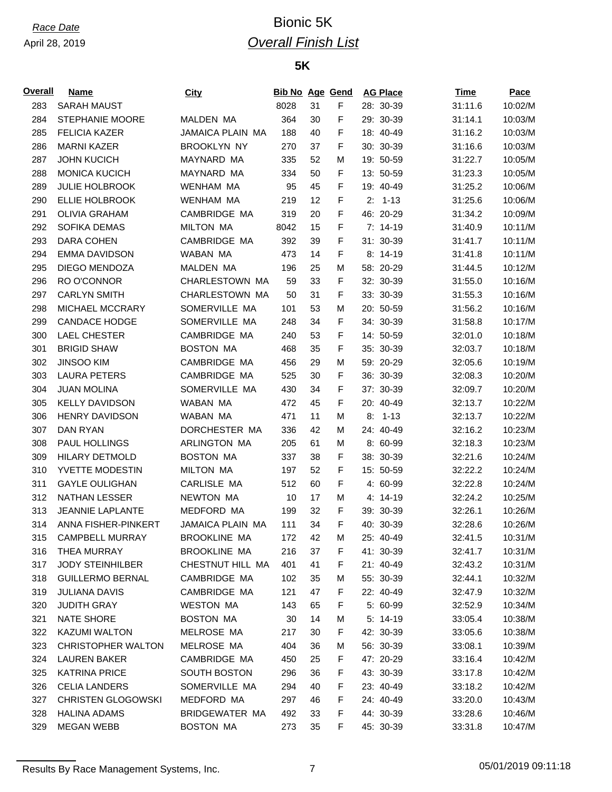## *Race Date* Bionic 5K *Overall Finish List*

### **5K**

| <b>Overall</b> | <b>Name</b>               | <b>City</b>         | <b>Bib No Age Gend</b> |    |             | <b>AG Place</b> | <u>Time</u> | Pace    |
|----------------|---------------------------|---------------------|------------------------|----|-------------|-----------------|-------------|---------|
| 283            | <b>SARAH MAUST</b>        |                     | 8028                   | 31 | F           | 28: 30-39       | 31:11.6     | 10:02/M |
| 284            | <b>STEPHANIE MOORE</b>    | <b>MALDEN MA</b>    | 364                    | 30 | F           | 29: 30-39       | 31:14.1     | 10:03/M |
| 285            | <b>FELICIA KAZER</b>      | JAMAICA PLAIN MA    | 188                    | 40 | F           | 18: 40-49       | 31:16.2     | 10:03/M |
| 286            | <b>MARNI KAZER</b>        | <b>BROOKLYN NY</b>  | 270                    | 37 | F           | 30: 30-39       | 31:16.6     | 10:03/M |
| 287            | <b>JOHN KUCICH</b>        | MAYNARD MA          | 335                    | 52 | М           | 19: 50-59       | 31:22.7     | 10:05/M |
| 288            | <b>MONICA KUCICH</b>      | MAYNARD MA          | 334                    | 50 | F           | 13: 50-59       | 31:23.3     | 10:05/M |
| 289            | <b>JULIE HOLBROOK</b>     | <b>WENHAM MA</b>    | 95                     | 45 | F           | 19: 40-49       | 31:25.2     | 10:06/M |
| 290            | <b>ELLIE HOLBROOK</b>     | <b>WENHAM MA</b>    | 219                    | 12 | $\mathsf F$ | $2: 1-13$       | 31:25.6     | 10:06/M |
| 291            | <b>OLIVIA GRAHAM</b>      | CAMBRIDGE MA        | 319                    | 20 | F           | 46: 20-29       | 31:34.2     | 10:09/M |
| 292            | SOFIKA DEMAS              | <b>MILTON MA</b>    | 8042                   | 15 | F           | $7: 14-19$      | 31:40.9     | 10:11/M |
| 293            | <b>DARA COHEN</b>         | CAMBRIDGE MA        | 392                    | 39 | F           | 31: 30-39       | 31:41.7     | 10:11/M |
| 294            | <b>EMMA DAVIDSON</b>      | WABAN MA            | 473                    | 14 | F           | 8: 14-19        | 31:41.8     | 10:11/M |
| 295            | DIEGO MENDOZA             | <b>MALDEN MA</b>    | 196                    | 25 | М           | 58: 20-29       | 31:44.5     | 10:12/M |
| 296            | RO O'CONNOR               | CHARLESTOWN MA      | 59                     | 33 | F           | 32: 30-39       | 31:55.0     | 10:16/M |
| 297            | <b>CARLYN SMITH</b>       | CHARLESTOWN MA      | 50                     | 31 | F           | 33: 30-39       | 31:55.3     | 10:16/M |
| 298            | MICHAEL MCCRARY           | SOMERVILLE MA       | 101                    | 53 | М           | 20: 50-59       | 31:56.2     | 10:16/M |
| 299            | <b>CANDACE HODGE</b>      | SOMERVILLE MA       | 248                    | 34 | F           | 34: 30-39       | 31:58.8     | 10:17/M |
| 300            | <b>LAEL CHESTER</b>       | CAMBRIDGE MA        | 240                    | 53 | F           | 14: 50-59       | 32:01.0     | 10:18/M |
| 301            | <b>BRIGID SHAW</b>        | <b>BOSTON MA</b>    | 468                    | 35 | F           | 35: 30-39       | 32:03.7     | 10:18/M |
| 302            | <b>JINSOO KIM</b>         | CAMBRIDGE MA        | 456                    | 29 | М           | 59: 20-29       | 32:05.6     | 10:19/M |
| 303            | <b>LAURA PETERS</b>       | CAMBRIDGE MA        | 525                    | 30 | F           | 36: 30-39       | 32:08.3     | 10:20/M |
| 304            | <b>JUAN MOLINA</b>        | SOMERVILLE MA       | 430                    | 34 | F           | 37: 30-39       | 32:09.7     | 10:20/M |
| 305            | <b>KELLY DAVIDSON</b>     | WABAN MA            | 472                    | 45 | F           | 20: 40-49       | 32:13.7     | 10:22/M |
| 306            | <b>HENRY DAVIDSON</b>     | WABAN MA            | 471                    | 11 | M           | $8: 1-13$       | 32:13.7     | 10:22/M |
| 307            | DAN RYAN                  | DORCHESTER MA       | 336                    | 42 | M           | 24: 40-49       | 32:16.2     | 10:23/M |
| 308            | PAUL HOLLINGS             | ARLINGTON MA        | 205                    | 61 | М           | 8: 60-99        | 32:18.3     | 10:23/M |
| 309            | <b>HILARY DETMOLD</b>     | <b>BOSTON MA</b>    | 337                    | 38 | F           | 38: 30-39       | 32:21.6     | 10:24/M |
| 310            | YVETTE MODESTIN           | <b>MILTON MA</b>    | 197                    | 52 | $\mathsf F$ | 15: 50-59       | 32:22.2     | 10:24/M |
| 311            | <b>GAYLE OULIGHAN</b>     | CARLISLE MA         | 512                    | 60 | F           | 4: 60-99        | 32:22.8     | 10:24/M |
| 312            | <b>NATHAN LESSER</b>      | <b>NEWTON MA</b>    | 10                     | 17 | M           | 4: 14-19        | 32:24.2     | 10:25/M |
| 313            | <b>JEANNIE LAPLANTE</b>   | MEDFORD MA          | 199                    | 32 | F           | 39: 30-39       | 32:26.1     | 10:26/M |
| 314            | ANNA FISHER-PINKERT       | JAMAICA PLAIN MA    | 111                    | 34 | F           | 40: 30-39       | 32:28.6     | 10:26/M |
| 315            | <b>CAMPBELL MURRAY</b>    | <b>BROOKLINE MA</b> | 172                    | 42 | М           | 25: 40-49       | 32:41.5     | 10:31/M |
| 316            | THEA MURRAY               | <b>BROOKLINE MA</b> | 216                    | 37 | F           | 41: 30-39       | 32:41.7     | 10:31/M |
| 317            | <b>JODY STEINHILBER</b>   | CHESTNUT HILL MA    | 401                    | 41 | F           | 21: 40-49       | 32:43.2     | 10:31/M |
| 318            | <b>GUILLERMO BERNAL</b>   | CAMBRIDGE MA        | 102                    | 35 | М           | 55: 30-39       | 32:44.1     | 10:32/M |
| 319            | <b>JULIANA DAVIS</b>      | CAMBRIDGE MA        | 121                    | 47 | F           | 22: 40-49       | 32:47.9     | 10:32/M |
| 320            | <b>JUDITH GRAY</b>        | <b>WESTON MA</b>    | 143                    | 65 | F           | 5: 60-99        | 32:52.9     | 10:34/M |
| 321            | NATE SHORE                | <b>BOSTON MA</b>    | 30                     | 14 | М           | $5: 14-19$      | 33:05.4     | 10:38/M |
| 322            | <b>KAZUMI WALTON</b>      | MELROSE MA          | 217                    | 30 | F           | 42: 30-39       | 33:05.6     | 10:38/M |
| 323            | CHRISTOPHER WALTON        | MELROSE MA          | 404                    | 36 | Μ           | 56: 30-39       | 33:08.1     | 10:39/M |
| 324            | <b>LAUREN BAKER</b>       | CAMBRIDGE MA        | 450                    | 25 | F           | 47: 20-29       | 33:16.4     | 10:42/M |
| 325            | <b>KATRINA PRICE</b>      | <b>SOUTH BOSTON</b> | 296                    | 36 | F           | 43: 30-39       | 33:17.8     | 10:42/M |
| 326            | CELIA LANDERS             | SOMERVILLE MA       | 294                    | 40 | F           | 23: 40-49       | 33:18.2     | 10:42/M |
| 327            | <b>CHRISTEN GLOGOWSKI</b> | MEDFORD MA          | 297                    | 46 | F           | 24: 40-49       | 33:20.0     | 10:43/M |
| 328            | <b>HALINA ADAMS</b>       | BRIDGEWATER MA      | 492                    | 33 | F           | 44: 30-39       | 33:28.6     | 10:46/M |
| 329            | <b>MEGAN WEBB</b>         | <b>BOSTON MA</b>    | 273                    | 35 | F           | 45: 30-39       | 33:31.8     | 10:47/M |
|                |                           |                     |                        |    |             |                 |             |         |

Results By Race Management Systems, Inc. 7 7 7 05/01/2019 09:11:18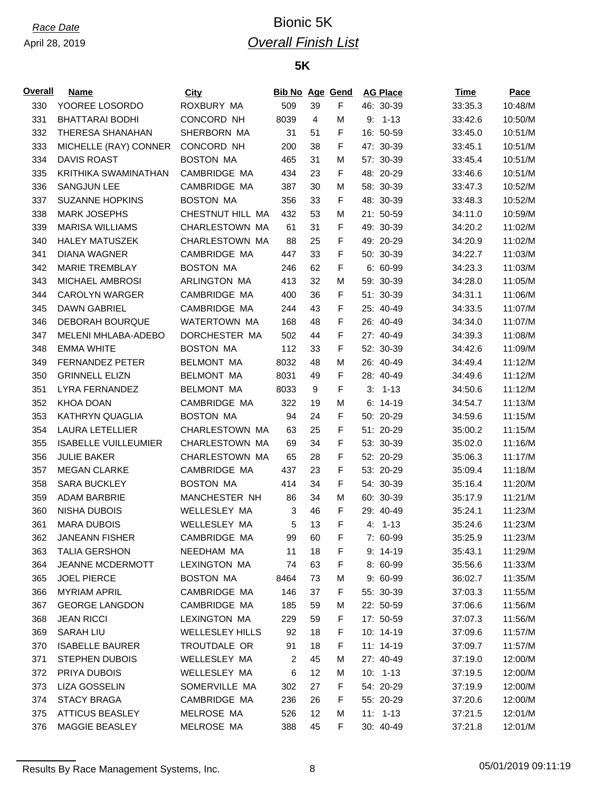## *Race Date* Bionic 5K *Overall Finish List*

### **5K**

| <b>Overall</b> | <b>Name</b>                 | <b>City</b>            | <b>Bib No Age Gend</b> |    |   | <b>AG Place</b> | Time    | Pace    |
|----------------|-----------------------------|------------------------|------------------------|----|---|-----------------|---------|---------|
| 330            | YOOREE LOSORDO              | ROXBURY MA             | 509                    | 39 | F | 46: 30-39       | 33:35.3 | 10:48/M |
| 331            | <b>BHATTARAI BODHI</b>      | CONCORD NH             | 8039                   | 4  | M | $9: 1-13$       | 33:42.6 | 10:50/M |
| 332            | THERESA SHANAHAN            | SHERBORN MA            | 31                     | 51 | F | 16: 50-59       | 33:45.0 | 10:51/M |
| 333            | MICHELLE (RAY) CONNER       | CONCORD NH             | 200                    | 38 | F | 47: 30-39       | 33:45.1 | 10:51/M |
| 334            | <b>DAVIS ROAST</b>          | <b>BOSTON MA</b>       | 465                    | 31 | М | 57: 30-39       | 33:45.4 | 10:51/M |
| 335            | KRITHIKA SWAMINATHAN        | CAMBRIDGE MA           | 434                    | 23 | F | 48: 20-29       | 33:46.6 | 10:51/M |
| 336            | <b>SANGJUN LEE</b>          | CAMBRIDGE MA           | 387                    | 30 | M | 58: 30-39       | 33:47.3 | 10:52/M |
| 337            | <b>SUZANNE HOPKINS</b>      | <b>BOSTON MA</b>       | 356                    | 33 | F | 48: 30-39       | 33:48.3 | 10:52/M |
| 338            | <b>MARK JOSEPHS</b>         | CHESTNUT HILL MA       | 432                    | 53 | M | 21: 50-59       | 34:11.0 | 10:59/M |
| 339            | <b>MARISA WILLIAMS</b>      | CHARLESTOWN MA         | 61                     | 31 | F | 49: 30-39       | 34:20.2 | 11:02/M |
| 340            | <b>HALEY MATUSZEK</b>       | CHARLESTOWN MA         | 88                     | 25 | F | 49: 20-29       | 34:20.9 | 11:02/M |
| 341            | <b>DIANA WAGNER</b>         | CAMBRIDGE MA           | 447                    | 33 | F | 50: 30-39       | 34:22.7 | 11:03/M |
| 342            | <b>MARIE TREMBLAY</b>       | <b>BOSTON MA</b>       | 246                    | 62 | F | $6: 60-99$      | 34:23.3 | 11:03/M |
| 343            | MICHAEL AMBROSI             | ARLINGTON MA           | 413                    | 32 | M | 59: 30-39       | 34:28.0 | 11:05/M |
| 344            | <b>CAROLYN WARGER</b>       | CAMBRIDGE MA           | 400                    | 36 | F | 51: 30-39       | 34:31.1 | 11:06/M |
| 345            | <b>DAWN GABRIEL</b>         | CAMBRIDGE MA           | 244                    | 43 | F | 25: 40-49       | 34:33.5 | 11:07/M |
| 346            | <b>DEBORAH BOURQUE</b>      | WATERTOWN MA           | 168                    | 48 | F | 26: 40-49       | 34:34.0 | 11:07/M |
| 347            | MELENI MHLABA-ADEBO         | DORCHESTER MA          | 502                    | 44 | F | 27: 40-49       | 34:39.3 | 11:08/M |
| 348            | <b>EMMA WHITE</b>           | <b>BOSTON MA</b>       | 112                    | 33 | F | 52: 30-39       | 34:42.6 | 11:09/M |
| 349            | <b>FERNANDEZ PETER</b>      | <b>BELMONT MA</b>      | 8032                   | 48 | M | 26: 40-49       | 34:49.4 | 11:12/M |
| 350            | <b>GRINNELL ELIZN</b>       | <b>BELMONT MA</b>      | 8031                   | 49 | F | 28: 40-49       | 34:49.6 | 11:12/M |
| 351            | LYRA FERNANDEZ              | <b>BELMONT MA</b>      | 8033                   | 9  | F | $3: 1-13$       | 34:50.6 | 11:12/M |
| 352            | KHOA DOAN                   | CAMBRIDGE MA           | 322                    | 19 | M | $6: 14-19$      | 34:54.7 | 11:13/M |
| 353            | <b>KATHRYN QUAGLIA</b>      | <b>BOSTON MA</b>       | 94                     | 24 | F | 50: 20-29       | 34:59.6 | 11:15/M |
| 354            | <b>LAURA LETELLIER</b>      | CHARLESTOWN MA         | 63                     | 25 | F | 51: 20-29       | 35:00.2 | 11:15/M |
| 355            | <b>ISABELLE VUILLEUMIER</b> | CHARLESTOWN MA         | 69                     | 34 | F | 53: 30-39       | 35:02.0 | 11:16/M |
| 356            | <b>JULIE BAKER</b>          | CHARLESTOWN MA         | 65                     | 28 | F | 52: 20-29       | 35:06.3 | 11:17/M |
| 357            | <b>MEGAN CLARKE</b>         | CAMBRIDGE MA           | 437                    | 23 | F | 53: 20-29       | 35:09.4 | 11:18/M |
| 358            | <b>SARA BUCKLEY</b>         | <b>BOSTON MA</b>       | 414                    | 34 | F | 54: 30-39       | 35:16.4 | 11:20/M |
| 359            | <b>ADAM BARBRIE</b>         | MANCHESTER NH          | 86                     | 34 | M | 60: 30-39       | 35:17.9 | 11:21/M |
| 360            | <b>NISHA DUBOIS</b>         | WELLESLEY MA           | 3                      | 46 | F | 29: 40-49       | 35:24.1 | 11:23/M |
| 361            | <b>MARA DUBOIS</b>          | WELLESLEY MA           | 5                      | 13 | F | $4: 1-13$       | 35:24.6 | 11:23/M |
| 362            | <b>JANEANN FISHER</b>       | CAMBRIDGE MA           | 99                     | 60 | F | 7: 60-99        | 35:25.9 | 11:23/M |
| 363            | <b>TALIA GERSHON</b>        | NEEDHAM MA             | 11                     | 18 | F | $9: 14-19$      | 35:43.1 | 11:29/M |
| 364            | <b>JEANNE MCDERMOTT</b>     | <b>LEXINGTON MA</b>    | 74                     | 63 | F | 8: 60-99        | 35:56.6 | 11:33/M |
| 365            | <b>JOEL PIERCE</b>          | <b>BOSTON MA</b>       | 8464                   | 73 | M | 9: 60-99        | 36:02.7 | 11:35/M |
| 366            | <b>MYRIAM APRIL</b>         | CAMBRIDGE MA           | 146                    | 37 | F | 55: 30-39       | 37:03.3 | 11:55/M |
| 367            | <b>GEORGE LANGDON</b>       | CAMBRIDGE MA           | 185                    | 59 | M | 22: 50-59       | 37:06.6 | 11:56/M |
| 368            | <b>JEAN RICCI</b>           | <b>LEXINGTON MA</b>    | 229                    | 59 | F | 17: 50-59       | 37:07.3 | 11:56/M |
| 369            | SARAH LIU                   | <b>WELLESLEY HILLS</b> | 92                     | 18 | F | 10: 14-19       | 37:09.6 | 11:57/M |
| 370            | <b>ISABELLE BAURER</b>      | TROUTDALE OR           | 91                     | 18 | F | 11: 14-19       | 37:09.7 | 11:57/M |
| 371            | <b>STEPHEN DUBOIS</b>       | WELLESLEY MA           | $\overline{c}$         | 45 | M | 27: 40-49       | 37:19.0 | 12:00/M |
| 372            | PRIYA DUBOIS                | WELLESLEY MA           | 6                      | 12 | M | $10: 1-13$      | 37:19.5 | 12:00/M |
| 373            | LIZA GOSSELIN               | SOMERVILLE MA          | 302                    | 27 | F | 54: 20-29       | 37:19.9 | 12:00/M |
| 374            | <b>STACY BRAGA</b>          | CAMBRIDGE MA           | 236                    | 26 | F | 55: 20-29       | 37:20.6 | 12:00/M |
| 375            | <b>ATTICUS BEASLEY</b>      | MELROSE MA             | 526                    | 12 | M | $11: 1-13$      | 37:21.5 | 12:01/M |
| 376            | MAGGIE BEASLEY              | MELROSE MA             | 388                    | 45 | F | 30: 40-49       | 37:21.8 | 12:01/M |

Results By Race Management Systems, Inc. 68 05/01/2019 09:11:19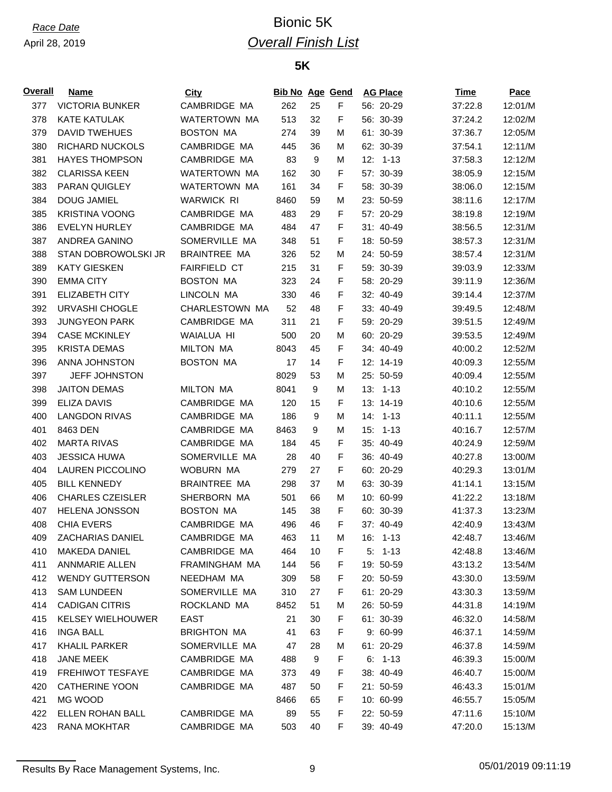## *Race Date* Bionic 5K *Overall Finish List*

### **5K**

| <u>Overall</u> | <b>Name</b>              | City                | <b>Bib No Age Gend</b> |                  |             | <b>AG Place</b> | Time    | Pace    |
|----------------|--------------------------|---------------------|------------------------|------------------|-------------|-----------------|---------|---------|
| 377            | <b>VICTORIA BUNKER</b>   | CAMBRIDGE MA        | 262                    | 25               | F           | 56: 20-29       | 37:22.8 | 12:01/M |
| 378            | <b>KATE KATULAK</b>      | WATERTOWN MA        | 513                    | 32               | F           | 56: 30-39       | 37:24.2 | 12:02/M |
| 379            | <b>DAVID TWEHUES</b>     | <b>BOSTON MA</b>    | 274                    | 39               | М           | 61: 30-39       | 37:36.7 | 12:05/M |
| 380            | RICHARD NUCKOLS          | CAMBRIDGE MA        | 445                    | 36               | М           | 62: 30-39       | 37:54.1 | 12:11/M |
| 381            | <b>HAYES THOMPSON</b>    | CAMBRIDGE MA        | 83                     | 9                | М           | $12: 1-13$      | 37:58.3 | 12:12/M |
| 382            | <b>CLARISSA KEEN</b>     | WATERTOWN MA        | 162                    | 30               | F           | 57: 30-39       | 38:05.9 | 12:15/M |
| 383            | PARAN QUIGLEY            | <b>WATERTOWN MA</b> | 161                    | 34               | F           | 58: 30-39       | 38:06.0 | 12:15/M |
| 384            | <b>DOUG JAMIEL</b>       | <b>WARWICK RI</b>   | 8460                   | 59               | М           | 23: 50-59       | 38:11.6 | 12:17/M |
| 385            | <b>KRISTINA VOONG</b>    | CAMBRIDGE MA        | 483                    | 29               | F           | 57: 20-29       | 38:19.8 | 12:19/M |
| 386            | <b>EVELYN HURLEY</b>     | CAMBRIDGE MA        | 484                    | 47               | F           | 31: 40-49       | 38:56.5 | 12:31/M |
| 387            | ANDREA GANINO            | SOMERVILLE MA       | 348                    | 51               | F           | 18: 50-59       | 38:57.3 | 12:31/M |
| 388            | STAN DOBROWOLSKI JR      | <b>BRAINTREE MA</b> | 326                    | 52               | M           | 24: 50-59       | 38:57.4 | 12:31/M |
| 389            | <b>KATY GIESKEN</b>      | <b>FAIRFIELD CT</b> | 215                    | 31               | F           | 59: 30-39       | 39:03.9 | 12:33/M |
| 390            | <b>EMMA CITY</b>         | <b>BOSTON MA</b>    | 323                    | 24               | F           | 58: 20-29       | 39:11.9 | 12:36/M |
| 391            | <b>ELIZABETH CITY</b>    | LINCOLN MA          | 330                    | 46               | F           | 32: 40-49       | 39:14.4 | 12:37/M |
| 392            | URVASHI CHOGLE           | CHARLESTOWN MA      | 52                     | 48               | $\mathsf F$ | 33: 40-49       | 39:49.5 | 12:48/M |
| 393            | <b>JUNGYEON PARK</b>     | CAMBRIDGE MA        | 311                    | 21               | F           | 59: 20-29       | 39:51.5 | 12:49/M |
| 394            | <b>CASE MCKINLEY</b>     | WAIALUA HI          | 500                    | 20               | м           | 60: 20-29       | 39:53.5 | 12:49/M |
| 395            | <b>KRISTA DEMAS</b>      | <b>MILTON MA</b>    | 8043                   | 45               | F           | 34: 40-49       | 40:00.2 | 12:52/M |
| 396            | ANNA JOHNSTON            | <b>BOSTON MA</b>    | 17                     | 14               | F           | 12: 14-19       | 40:09.3 | 12:55/M |
| 397            | <b>JEFF JOHNSTON</b>     |                     | 8029                   | 53               | М           | 25: 50-59       | 40:09.4 | 12:55/M |
| 398            | <b>JAITON DEMAS</b>      | <b>MILTON MA</b>    | 8041                   | $\boldsymbol{9}$ | M           | $13: 1-13$      | 40:10.2 | 12:55/M |
| 399            | <b>ELIZA DAVIS</b>       | CAMBRIDGE MA        | 120                    | 15               | F           | 13: 14-19       | 40:10.6 | 12:55/M |
| 400            | <b>LANGDON RIVAS</b>     | CAMBRIDGE MA        | 186                    | 9                | M           | $14: 1-13$      | 40:11.1 | 12:55/M |
| 401            | 8463 DEN                 | CAMBRIDGE MA        | 8463                   | 9                | М           | $15: 1-13$      | 40:16.7 | 12:57/M |
| 402            | <b>MARTA RIVAS</b>       | CAMBRIDGE MA        | 184                    | 45               | F           | 35: 40-49       | 40:24.9 | 12:59/M |
| 403            | <b>JESSICA HUWA</b>      | SOMERVILLE MA       | 28                     | 40               | F           | 36: 40-49       | 40:27.8 | 13:00/M |
| 404            | <b>LAUREN PICCOLINO</b>  | WOBURN MA           | 279                    | 27               | F           | 60: 20-29       | 40:29.3 | 13:01/M |
| 405            | <b>BILL KENNEDY</b>      | <b>BRAINTREE MA</b> | 298                    | 37               | М           | 63: 30-39       | 41:14.1 | 13:15/M |
| 406            | <b>CHARLES CZEISLER</b>  | SHERBORN MA         | 501                    | 66               | м           | 10: 60-99       | 41:22.2 | 13:18/M |
| 407            | <b>HELENA JONSSON</b>    | <b>BOSTON MA</b>    | 145                    | 38               | F           | 60: 30-39       | 41:37.3 | 13:23/M |
| 408            | <b>CHIA EVERS</b>        | CAMBRIDGE MA        | 496                    | 46               | F           | 37: 40-49       | 42:40.9 | 13:43/M |
| 409            | ZACHARIAS DANIEL         | CAMBRIDGE MA        | 463                    | 11               | M           | $16: 1-13$      | 42:48.7 | 13:46/M |
| 410            | <b>MAKEDA DANIEL</b>     | CAMBRIDGE MA        | 464                    | 10               | F           | $5: 1-13$       | 42:48.8 | 13:46/M |
| 411            | <b>ANNMARIE ALLEN</b>    | FRAMINGHAM MA       | 144                    | 56               | F           | 19: 50-59       | 43:13.2 | 13:54/M |
| 412            | <b>WENDY GUTTERSON</b>   | NEEDHAM MA          | 309                    | 58               | F           | 20: 50-59       | 43:30.0 | 13:59/M |
| 413            | <b>SAM LUNDEEN</b>       | SOMERVILLE MA       | 310                    | 27               | F           | 61: 20-29       | 43:30.3 | 13:59/M |
| 414            | <b>CADIGAN CITRIS</b>    | ROCKLAND MA         | 8452                   | 51               | м           | 26: 50-59       | 44:31.8 | 14:19/M |
| 415            | <b>KELSEY WIELHOUWER</b> | EAST                | 21                     | 30               | F           | 61: 30-39       | 46:32.0 | 14:58/M |
| 416            | <b>INGA BALL</b>         | <b>BRIGHTON MA</b>  | 41                     | 63               | F           | $9:60-99$       | 46:37.1 | 14:59/M |
| 417            | <b>KHALIL PARKER</b>     | SOMERVILLE MA       | 47                     | 28               | М           | 61: 20-29       | 46:37.8 | 14:59/M |
| 418            | <b>JANE MEEK</b>         | CAMBRIDGE MA        | 488                    | $\boldsymbol{9}$ | F           | $6: 1-13$       | 46:39.3 | 15:00/M |
| 419            | <b>FREHIWOT TESFAYE</b>  | CAMBRIDGE MA        | 373                    | 49               | F           | 38: 40-49       | 46:40.7 | 15:00/M |
| 420            | <b>CATHERINE YOON</b>    | CAMBRIDGE MA        | 487                    | 50               | F           | 21: 50-59       | 46:43.3 | 15:01/M |
| 421            | MG WOOD                  |                     | 8466                   | 65               | F           | 10: 60-99       | 46:55.7 | 15:05/M |
| 422            | ELLEN ROHAN BALL         | CAMBRIDGE MA        | 89                     | 55               | F           | 22: 50-59       | 47:11.6 | 15:10/M |
| 423            | RANA MOKHTAR             | CAMBRIDGE MA        | 503                    | 40               | F           | 39: 40-49       | 47:20.0 | 15:13/M |

Results By Race Management Systems, Inc. 2012019 05/01/2019 09:11:19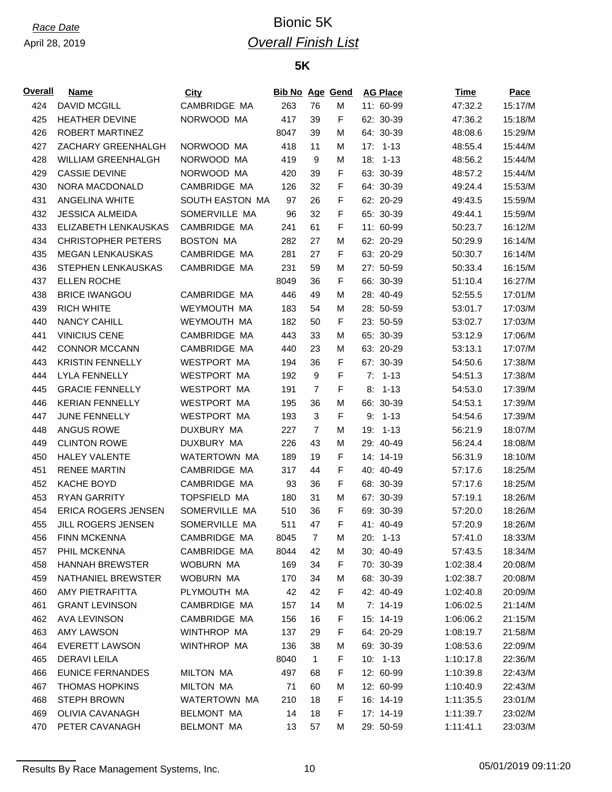## *Race Date* Bionic 5K *Overall Finish List*

### **5K**

| 424<br><b>DAVID MCGILL</b><br>CAMBRIDGE MA<br>263<br>76<br>11: 60-99<br>47:32.2<br>15:17/M<br>М<br>F<br>425<br><b>HEATHER DEVINE</b><br>NORWOOD MA<br>417<br>39<br>62: 30-39<br>15:18/M<br>47:36.2<br>426<br>ROBERT MARTINEZ<br>8047<br>64: 30-39<br>15:29/M<br>39<br>M<br>48:08.6<br>427<br>ZACHARY GREENHALGH<br>NORWOOD MA<br>418<br>11<br>17:<br>15:44/M<br>M<br>$1 - 13$<br>48:55.4<br>428<br><b>WILLIAM GREENHALGH</b><br>NORWOOD MA<br>419<br>9<br>18:<br>15:44/M<br>М<br>$1 - 13$<br>48:56.2<br>NORWOOD MA<br>F<br>429<br><b>CASSIE DEVINE</b><br>39<br>63: 30-39<br>15:44/M<br>420<br>48:57.2<br>CAMBRIDGE MA<br>F<br>430<br><b>NORA MACDONALD</b><br>32<br>64: 30-39<br>15:53/M<br>126<br>49:24.4<br>SOUTH EASTON MA<br>15:59/M<br>431<br><b>ANGELINA WHITE</b><br>97<br>26<br>F<br>62: 20-29<br>49:43.5<br>F<br>432<br><b>JESSICA ALMEIDA</b><br>SOMERVILLE MA<br>32<br>65: 30-39<br>15:59/M<br>96<br>49:44.1<br>CAMBRIDGE MA<br>F<br>433<br>ELIZABETH LENKAUSKAS<br>61<br>11: 60-99<br>16:12/M<br>241<br>50:23.7<br>434<br><b>CHRISTOPHER PETERS</b><br><b>BOSTON MA</b><br>282<br>27<br>62: 20-29<br>16:14/M<br>M<br>50:29.9<br>435<br><b>MEGAN LENKAUSKAS</b><br>CAMBRIDGE MA<br>281<br>27<br>F<br>63: 20-29<br>16:14/M<br>50:30.7<br>436<br>STEPHEN LENKAUSKAS<br>CAMBRIDGE MA<br>231<br>59<br>27: 50-59<br>16:15/M<br>М<br>50:33.4<br>437<br><b>ELLEN ROCHE</b><br>36<br>F<br>66: 30-39<br>16:27/M<br>8049<br>51:10.4<br>438<br><b>BRICE IWANGOU</b><br>CAMBRIDGE MA<br>446<br>49<br>28: 40-49<br>17:01/M<br>M<br>52:55.5<br>17:03/M<br>439<br><b>RICH WHITE</b><br>WEYMOUTH MA<br>183<br>28: 50-59<br>54<br>M<br>53:01.7<br>F<br>440<br><b>NANCY CAHILL</b><br>WEYMOUTH MA<br>50<br>23: 50-59<br>17:03/M<br>182<br>53:02.7<br>441<br><b>VINICIUS CENE</b><br>CAMBRIDGE MA<br>33<br>65: 30-39<br>17:06/M<br>443<br>M<br>53:12.9<br>442<br><b>CONNOR MCCANN</b><br>CAMBRIDGE MA<br>63: 20-29<br>53:13.1<br>17:07/M<br>440<br>23<br>M<br>F<br>443<br><b>KRISTIN FENNELLY</b><br><b>WESTPORT MA</b><br>36<br>67: 30-39<br>17:38/M<br>194<br>54:50.6<br>$\boldsymbol{9}$<br>F<br>444<br><b>LYLA FENNELLY</b><br><b>WESTPORT MA</b><br>$7: 1-13$<br>17:38/M<br>192<br>54:51.3<br>F<br>$\overline{7}$<br>445<br><b>GRACIE FENNELLY</b><br><b>WESTPORT MA</b><br>191<br>8:<br>$1 - 13$<br>17:39/M<br>54:53.0<br>17:39/M<br>446<br><b>KERIAN FENNELLY</b><br><b>WESTPORT MA</b><br>66: 30-39<br>195<br>36<br>M<br>54:53.1<br>F<br>17:39/M<br>447<br><b>JUNE FENNELLY</b><br><b>WESTPORT MA</b><br>193<br>3<br>9:<br>$1 - 13$<br>54:54.6<br>448<br><b>ANGUS ROWE</b><br>DUXBURY MA<br>$\overline{7}$<br>19:<br>$1 - 13$<br>56:21.9<br>18:07/M<br>227<br>М<br>449<br><b>CLINTON ROWE</b><br>DUXBURY MA<br>226<br>43<br>29: 40-49<br>18:08/M<br>M<br>56:24.4<br>F<br>450<br><b>HALEY VALENTE</b><br>WATERTOWN MA<br>19<br>14: 14-19<br>18:10/M<br>189<br>56:31.9<br>451<br><b>RENEE MARTIN</b><br>CAMBRIDGE MA<br>317<br>44<br>F<br>40: 40-49<br>18:25/M<br>57:17.6<br>F<br>452<br><b>KACHE BOYD</b><br>CAMBRIDGE MA<br>93<br>36<br>68: 30-39<br>18:25/M<br>57:17.6<br>453<br><b>RYAN GARRITY</b><br><b>TOPSFIELD MA</b><br>31<br>67: 30-39<br>18:26/M<br>180<br>M<br>57:19.1<br>F<br>454<br>ERICA ROGERS JENSEN<br>SOMERVILLE MA<br>69: 30-39<br>18:26/M<br>510<br>36<br>57:20.0<br>SOMERVILLE MA<br>F<br>455<br>JILL ROGERS JENSEN<br>511<br>47<br>41: 40-49<br>18:26/M<br>57:20.9<br><b>FINN MCKENNA</b><br>CAMBRIDGE MA<br>8045<br>$\overline{7}$<br>20: 1-13<br>456<br>M<br>57:41.0<br>18:33/M<br>CAMBRIDGE MA<br>30: 40-49<br>457<br>PHIL MCKENNA<br>8044<br>42<br>57:43.5<br>18:34/M<br>M<br>F<br>458<br><b>HANNAH BREWSTER</b><br>WOBURN MA<br>169<br>34<br>70: 30-39<br>1:02:38.4<br>20:08/M<br>459<br>NATHANIEL BREWSTER<br>WOBURN MA<br>170<br>34<br>68: 30-39<br>20:08/M<br>M<br>1:02:38.7<br>42<br>F<br>460<br>AMY PIETRAFITTA<br>PLYMOUTH MA<br>42<br>42: 40-49<br>20:09/M<br>1:02:40.8<br>461<br><b>GRANT LEVINSON</b><br>CAMBRDIGE MA<br>14<br>M<br>$7: 14-19$<br>1:06:02.5<br>21:14/M<br>157<br><b>AVA LEVINSON</b><br>CAMBRIDGE MA<br>F<br>462<br>156<br>16<br>15: 14-19<br>1:06:06.2<br>21:15/M<br>463<br>WINTHROP MA<br><b>AMY LAWSON</b><br>137<br>29<br>F<br>64: 20-29<br>1:08:19.7<br>21:58/M<br>464<br>38<br><b>EVERETT LAWSON</b><br>WINTHROP MA<br>136<br>69: 30-39<br>1:08:53.6<br>22:09/M<br>M<br>$\mathbf{1}$<br>F<br>465<br><b>DERAVILEILA</b><br>8040<br>$10: 1-13$<br>22:36/M<br>1:10:17.8<br><b>EUNICE FERNANDES</b><br>F<br>466<br><b>MILTON MA</b><br>497<br>68<br>12: 60-99<br>1:10:39.8<br>22:43/M<br><b>MILTON MA</b><br>467<br><b>THOMAS HOPKINS</b><br>60<br>12: 60-99<br>1:10:40.9<br>22:43/M<br>71<br>M<br>18<br>F<br>468<br><b>STEPH BROWN</b><br>WATERTOWN MA<br>210<br>16: 14-19<br>23:01/M<br>1:11:35.5<br>469<br>F<br>OLIVIA CAVANAGH<br><b>BELMONT MA</b><br>14<br>18<br>17: 14-19<br>1:11:39.7<br>23:02/M<br>PETER CAVANAGH<br><b>BELMONT MA</b><br>470<br>13<br>57<br>М<br>29: 50-59<br>1:11:41.1<br>23:03/M | Overall | <b>Name</b> | <b>City</b> | <b>Bib No Age Gend</b> |  | <b>AG Place</b> | Time | Pace |
|---------------------------------------------------------------------------------------------------------------------------------------------------------------------------------------------------------------------------------------------------------------------------------------------------------------------------------------------------------------------------------------------------------------------------------------------------------------------------------------------------------------------------------------------------------------------------------------------------------------------------------------------------------------------------------------------------------------------------------------------------------------------------------------------------------------------------------------------------------------------------------------------------------------------------------------------------------------------------------------------------------------------------------------------------------------------------------------------------------------------------------------------------------------------------------------------------------------------------------------------------------------------------------------------------------------------------------------------------------------------------------------------------------------------------------------------------------------------------------------------------------------------------------------------------------------------------------------------------------------------------------------------------------------------------------------------------------------------------------------------------------------------------------------------------------------------------------------------------------------------------------------------------------------------------------------------------------------------------------------------------------------------------------------------------------------------------------------------------------------------------------------------------------------------------------------------------------------------------------------------------------------------------------------------------------------------------------------------------------------------------------------------------------------------------------------------------------------------------------------------------------------------------------------------------------------------------------------------------------------------------------------------------------------------------------------------------------------------------------------------------------------------------------------------------------------------------------------------------------------------------------------------------------------------------------------------------------------------------------------------------------------------------------------------------------------------------------------------------------------------------------------------------------------------------------------------------------------------------------------------------------------------------------------------------------------------------------------------------------------------------------------------------------------------------------------------------------------------------------------------------------------------------------------------------------------------------------------------------------------------------------------------------------------------------------------------------------------------------------------------------------------------------------------------------------------------------------------------------------------------------------------------------------------------------------------------------------------------------------------------------------------------------------------------------------------------------------------------------------------------------------------------------------------------------------------------------------------------------------------------------------------------------------------------------------------------------------------------------------------------------------------------------------------------------------------------------------------------------------------------------------------------------------------------------------------------------------------------------------------------------------------------------------------------------------------------------------------------------------------------------------------------------------------------------------------------------------------------------------------------------------------------------------------------------------------------------------------------|---------|-------------|-------------|------------------------|--|-----------------|------|------|
|                                                                                                                                                                                                                                                                                                                                                                                                                                                                                                                                                                                                                                                                                                                                                                                                                                                                                                                                                                                                                                                                                                                                                                                                                                                                                                                                                                                                                                                                                                                                                                                                                                                                                                                                                                                                                                                                                                                                                                                                                                                                                                                                                                                                                                                                                                                                                                                                                                                                                                                                                                                                                                                                                                                                                                                                                                                                                                                                                                                                                                                                                                                                                                                                                                                                                                                                                                                                                                                                                                                                                                                                                                                                                                                                                                                                                                                                                                                                                                                                                                                                                                                                                                                                                                                                                                                                                                                                                                                                                                                                                                                                                                                                                                                                                                                                                                                                                                                                                                     |         |             |             |                        |  |                 |      |      |
|                                                                                                                                                                                                                                                                                                                                                                                                                                                                                                                                                                                                                                                                                                                                                                                                                                                                                                                                                                                                                                                                                                                                                                                                                                                                                                                                                                                                                                                                                                                                                                                                                                                                                                                                                                                                                                                                                                                                                                                                                                                                                                                                                                                                                                                                                                                                                                                                                                                                                                                                                                                                                                                                                                                                                                                                                                                                                                                                                                                                                                                                                                                                                                                                                                                                                                                                                                                                                                                                                                                                                                                                                                                                                                                                                                                                                                                                                                                                                                                                                                                                                                                                                                                                                                                                                                                                                                                                                                                                                                                                                                                                                                                                                                                                                                                                                                                                                                                                                                     |         |             |             |                        |  |                 |      |      |
|                                                                                                                                                                                                                                                                                                                                                                                                                                                                                                                                                                                                                                                                                                                                                                                                                                                                                                                                                                                                                                                                                                                                                                                                                                                                                                                                                                                                                                                                                                                                                                                                                                                                                                                                                                                                                                                                                                                                                                                                                                                                                                                                                                                                                                                                                                                                                                                                                                                                                                                                                                                                                                                                                                                                                                                                                                                                                                                                                                                                                                                                                                                                                                                                                                                                                                                                                                                                                                                                                                                                                                                                                                                                                                                                                                                                                                                                                                                                                                                                                                                                                                                                                                                                                                                                                                                                                                                                                                                                                                                                                                                                                                                                                                                                                                                                                                                                                                                                                                     |         |             |             |                        |  |                 |      |      |
|                                                                                                                                                                                                                                                                                                                                                                                                                                                                                                                                                                                                                                                                                                                                                                                                                                                                                                                                                                                                                                                                                                                                                                                                                                                                                                                                                                                                                                                                                                                                                                                                                                                                                                                                                                                                                                                                                                                                                                                                                                                                                                                                                                                                                                                                                                                                                                                                                                                                                                                                                                                                                                                                                                                                                                                                                                                                                                                                                                                                                                                                                                                                                                                                                                                                                                                                                                                                                                                                                                                                                                                                                                                                                                                                                                                                                                                                                                                                                                                                                                                                                                                                                                                                                                                                                                                                                                                                                                                                                                                                                                                                                                                                                                                                                                                                                                                                                                                                                                     |         |             |             |                        |  |                 |      |      |
|                                                                                                                                                                                                                                                                                                                                                                                                                                                                                                                                                                                                                                                                                                                                                                                                                                                                                                                                                                                                                                                                                                                                                                                                                                                                                                                                                                                                                                                                                                                                                                                                                                                                                                                                                                                                                                                                                                                                                                                                                                                                                                                                                                                                                                                                                                                                                                                                                                                                                                                                                                                                                                                                                                                                                                                                                                                                                                                                                                                                                                                                                                                                                                                                                                                                                                                                                                                                                                                                                                                                                                                                                                                                                                                                                                                                                                                                                                                                                                                                                                                                                                                                                                                                                                                                                                                                                                                                                                                                                                                                                                                                                                                                                                                                                                                                                                                                                                                                                                     |         |             |             |                        |  |                 |      |      |
|                                                                                                                                                                                                                                                                                                                                                                                                                                                                                                                                                                                                                                                                                                                                                                                                                                                                                                                                                                                                                                                                                                                                                                                                                                                                                                                                                                                                                                                                                                                                                                                                                                                                                                                                                                                                                                                                                                                                                                                                                                                                                                                                                                                                                                                                                                                                                                                                                                                                                                                                                                                                                                                                                                                                                                                                                                                                                                                                                                                                                                                                                                                                                                                                                                                                                                                                                                                                                                                                                                                                                                                                                                                                                                                                                                                                                                                                                                                                                                                                                                                                                                                                                                                                                                                                                                                                                                                                                                                                                                                                                                                                                                                                                                                                                                                                                                                                                                                                                                     |         |             |             |                        |  |                 |      |      |
|                                                                                                                                                                                                                                                                                                                                                                                                                                                                                                                                                                                                                                                                                                                                                                                                                                                                                                                                                                                                                                                                                                                                                                                                                                                                                                                                                                                                                                                                                                                                                                                                                                                                                                                                                                                                                                                                                                                                                                                                                                                                                                                                                                                                                                                                                                                                                                                                                                                                                                                                                                                                                                                                                                                                                                                                                                                                                                                                                                                                                                                                                                                                                                                                                                                                                                                                                                                                                                                                                                                                                                                                                                                                                                                                                                                                                                                                                                                                                                                                                                                                                                                                                                                                                                                                                                                                                                                                                                                                                                                                                                                                                                                                                                                                                                                                                                                                                                                                                                     |         |             |             |                        |  |                 |      |      |
|                                                                                                                                                                                                                                                                                                                                                                                                                                                                                                                                                                                                                                                                                                                                                                                                                                                                                                                                                                                                                                                                                                                                                                                                                                                                                                                                                                                                                                                                                                                                                                                                                                                                                                                                                                                                                                                                                                                                                                                                                                                                                                                                                                                                                                                                                                                                                                                                                                                                                                                                                                                                                                                                                                                                                                                                                                                                                                                                                                                                                                                                                                                                                                                                                                                                                                                                                                                                                                                                                                                                                                                                                                                                                                                                                                                                                                                                                                                                                                                                                                                                                                                                                                                                                                                                                                                                                                                                                                                                                                                                                                                                                                                                                                                                                                                                                                                                                                                                                                     |         |             |             |                        |  |                 |      |      |
|                                                                                                                                                                                                                                                                                                                                                                                                                                                                                                                                                                                                                                                                                                                                                                                                                                                                                                                                                                                                                                                                                                                                                                                                                                                                                                                                                                                                                                                                                                                                                                                                                                                                                                                                                                                                                                                                                                                                                                                                                                                                                                                                                                                                                                                                                                                                                                                                                                                                                                                                                                                                                                                                                                                                                                                                                                                                                                                                                                                                                                                                                                                                                                                                                                                                                                                                                                                                                                                                                                                                                                                                                                                                                                                                                                                                                                                                                                                                                                                                                                                                                                                                                                                                                                                                                                                                                                                                                                                                                                                                                                                                                                                                                                                                                                                                                                                                                                                                                                     |         |             |             |                        |  |                 |      |      |
|                                                                                                                                                                                                                                                                                                                                                                                                                                                                                                                                                                                                                                                                                                                                                                                                                                                                                                                                                                                                                                                                                                                                                                                                                                                                                                                                                                                                                                                                                                                                                                                                                                                                                                                                                                                                                                                                                                                                                                                                                                                                                                                                                                                                                                                                                                                                                                                                                                                                                                                                                                                                                                                                                                                                                                                                                                                                                                                                                                                                                                                                                                                                                                                                                                                                                                                                                                                                                                                                                                                                                                                                                                                                                                                                                                                                                                                                                                                                                                                                                                                                                                                                                                                                                                                                                                                                                                                                                                                                                                                                                                                                                                                                                                                                                                                                                                                                                                                                                                     |         |             |             |                        |  |                 |      |      |
|                                                                                                                                                                                                                                                                                                                                                                                                                                                                                                                                                                                                                                                                                                                                                                                                                                                                                                                                                                                                                                                                                                                                                                                                                                                                                                                                                                                                                                                                                                                                                                                                                                                                                                                                                                                                                                                                                                                                                                                                                                                                                                                                                                                                                                                                                                                                                                                                                                                                                                                                                                                                                                                                                                                                                                                                                                                                                                                                                                                                                                                                                                                                                                                                                                                                                                                                                                                                                                                                                                                                                                                                                                                                                                                                                                                                                                                                                                                                                                                                                                                                                                                                                                                                                                                                                                                                                                                                                                                                                                                                                                                                                                                                                                                                                                                                                                                                                                                                                                     |         |             |             |                        |  |                 |      |      |
|                                                                                                                                                                                                                                                                                                                                                                                                                                                                                                                                                                                                                                                                                                                                                                                                                                                                                                                                                                                                                                                                                                                                                                                                                                                                                                                                                                                                                                                                                                                                                                                                                                                                                                                                                                                                                                                                                                                                                                                                                                                                                                                                                                                                                                                                                                                                                                                                                                                                                                                                                                                                                                                                                                                                                                                                                                                                                                                                                                                                                                                                                                                                                                                                                                                                                                                                                                                                                                                                                                                                                                                                                                                                                                                                                                                                                                                                                                                                                                                                                                                                                                                                                                                                                                                                                                                                                                                                                                                                                                                                                                                                                                                                                                                                                                                                                                                                                                                                                                     |         |             |             |                        |  |                 |      |      |
|                                                                                                                                                                                                                                                                                                                                                                                                                                                                                                                                                                                                                                                                                                                                                                                                                                                                                                                                                                                                                                                                                                                                                                                                                                                                                                                                                                                                                                                                                                                                                                                                                                                                                                                                                                                                                                                                                                                                                                                                                                                                                                                                                                                                                                                                                                                                                                                                                                                                                                                                                                                                                                                                                                                                                                                                                                                                                                                                                                                                                                                                                                                                                                                                                                                                                                                                                                                                                                                                                                                                                                                                                                                                                                                                                                                                                                                                                                                                                                                                                                                                                                                                                                                                                                                                                                                                                                                                                                                                                                                                                                                                                                                                                                                                                                                                                                                                                                                                                                     |         |             |             |                        |  |                 |      |      |
|                                                                                                                                                                                                                                                                                                                                                                                                                                                                                                                                                                                                                                                                                                                                                                                                                                                                                                                                                                                                                                                                                                                                                                                                                                                                                                                                                                                                                                                                                                                                                                                                                                                                                                                                                                                                                                                                                                                                                                                                                                                                                                                                                                                                                                                                                                                                                                                                                                                                                                                                                                                                                                                                                                                                                                                                                                                                                                                                                                                                                                                                                                                                                                                                                                                                                                                                                                                                                                                                                                                                                                                                                                                                                                                                                                                                                                                                                                                                                                                                                                                                                                                                                                                                                                                                                                                                                                                                                                                                                                                                                                                                                                                                                                                                                                                                                                                                                                                                                                     |         |             |             |                        |  |                 |      |      |
|                                                                                                                                                                                                                                                                                                                                                                                                                                                                                                                                                                                                                                                                                                                                                                                                                                                                                                                                                                                                                                                                                                                                                                                                                                                                                                                                                                                                                                                                                                                                                                                                                                                                                                                                                                                                                                                                                                                                                                                                                                                                                                                                                                                                                                                                                                                                                                                                                                                                                                                                                                                                                                                                                                                                                                                                                                                                                                                                                                                                                                                                                                                                                                                                                                                                                                                                                                                                                                                                                                                                                                                                                                                                                                                                                                                                                                                                                                                                                                                                                                                                                                                                                                                                                                                                                                                                                                                                                                                                                                                                                                                                                                                                                                                                                                                                                                                                                                                                                                     |         |             |             |                        |  |                 |      |      |
|                                                                                                                                                                                                                                                                                                                                                                                                                                                                                                                                                                                                                                                                                                                                                                                                                                                                                                                                                                                                                                                                                                                                                                                                                                                                                                                                                                                                                                                                                                                                                                                                                                                                                                                                                                                                                                                                                                                                                                                                                                                                                                                                                                                                                                                                                                                                                                                                                                                                                                                                                                                                                                                                                                                                                                                                                                                                                                                                                                                                                                                                                                                                                                                                                                                                                                                                                                                                                                                                                                                                                                                                                                                                                                                                                                                                                                                                                                                                                                                                                                                                                                                                                                                                                                                                                                                                                                                                                                                                                                                                                                                                                                                                                                                                                                                                                                                                                                                                                                     |         |             |             |                        |  |                 |      |      |
|                                                                                                                                                                                                                                                                                                                                                                                                                                                                                                                                                                                                                                                                                                                                                                                                                                                                                                                                                                                                                                                                                                                                                                                                                                                                                                                                                                                                                                                                                                                                                                                                                                                                                                                                                                                                                                                                                                                                                                                                                                                                                                                                                                                                                                                                                                                                                                                                                                                                                                                                                                                                                                                                                                                                                                                                                                                                                                                                                                                                                                                                                                                                                                                                                                                                                                                                                                                                                                                                                                                                                                                                                                                                                                                                                                                                                                                                                                                                                                                                                                                                                                                                                                                                                                                                                                                                                                                                                                                                                                                                                                                                                                                                                                                                                                                                                                                                                                                                                                     |         |             |             |                        |  |                 |      |      |
|                                                                                                                                                                                                                                                                                                                                                                                                                                                                                                                                                                                                                                                                                                                                                                                                                                                                                                                                                                                                                                                                                                                                                                                                                                                                                                                                                                                                                                                                                                                                                                                                                                                                                                                                                                                                                                                                                                                                                                                                                                                                                                                                                                                                                                                                                                                                                                                                                                                                                                                                                                                                                                                                                                                                                                                                                                                                                                                                                                                                                                                                                                                                                                                                                                                                                                                                                                                                                                                                                                                                                                                                                                                                                                                                                                                                                                                                                                                                                                                                                                                                                                                                                                                                                                                                                                                                                                                                                                                                                                                                                                                                                                                                                                                                                                                                                                                                                                                                                                     |         |             |             |                        |  |                 |      |      |
|                                                                                                                                                                                                                                                                                                                                                                                                                                                                                                                                                                                                                                                                                                                                                                                                                                                                                                                                                                                                                                                                                                                                                                                                                                                                                                                                                                                                                                                                                                                                                                                                                                                                                                                                                                                                                                                                                                                                                                                                                                                                                                                                                                                                                                                                                                                                                                                                                                                                                                                                                                                                                                                                                                                                                                                                                                                                                                                                                                                                                                                                                                                                                                                                                                                                                                                                                                                                                                                                                                                                                                                                                                                                                                                                                                                                                                                                                                                                                                                                                                                                                                                                                                                                                                                                                                                                                                                                                                                                                                                                                                                                                                                                                                                                                                                                                                                                                                                                                                     |         |             |             |                        |  |                 |      |      |
|                                                                                                                                                                                                                                                                                                                                                                                                                                                                                                                                                                                                                                                                                                                                                                                                                                                                                                                                                                                                                                                                                                                                                                                                                                                                                                                                                                                                                                                                                                                                                                                                                                                                                                                                                                                                                                                                                                                                                                                                                                                                                                                                                                                                                                                                                                                                                                                                                                                                                                                                                                                                                                                                                                                                                                                                                                                                                                                                                                                                                                                                                                                                                                                                                                                                                                                                                                                                                                                                                                                                                                                                                                                                                                                                                                                                                                                                                                                                                                                                                                                                                                                                                                                                                                                                                                                                                                                                                                                                                                                                                                                                                                                                                                                                                                                                                                                                                                                                                                     |         |             |             |                        |  |                 |      |      |
|                                                                                                                                                                                                                                                                                                                                                                                                                                                                                                                                                                                                                                                                                                                                                                                                                                                                                                                                                                                                                                                                                                                                                                                                                                                                                                                                                                                                                                                                                                                                                                                                                                                                                                                                                                                                                                                                                                                                                                                                                                                                                                                                                                                                                                                                                                                                                                                                                                                                                                                                                                                                                                                                                                                                                                                                                                                                                                                                                                                                                                                                                                                                                                                                                                                                                                                                                                                                                                                                                                                                                                                                                                                                                                                                                                                                                                                                                                                                                                                                                                                                                                                                                                                                                                                                                                                                                                                                                                                                                                                                                                                                                                                                                                                                                                                                                                                                                                                                                                     |         |             |             |                        |  |                 |      |      |
|                                                                                                                                                                                                                                                                                                                                                                                                                                                                                                                                                                                                                                                                                                                                                                                                                                                                                                                                                                                                                                                                                                                                                                                                                                                                                                                                                                                                                                                                                                                                                                                                                                                                                                                                                                                                                                                                                                                                                                                                                                                                                                                                                                                                                                                                                                                                                                                                                                                                                                                                                                                                                                                                                                                                                                                                                                                                                                                                                                                                                                                                                                                                                                                                                                                                                                                                                                                                                                                                                                                                                                                                                                                                                                                                                                                                                                                                                                                                                                                                                                                                                                                                                                                                                                                                                                                                                                                                                                                                                                                                                                                                                                                                                                                                                                                                                                                                                                                                                                     |         |             |             |                        |  |                 |      |      |
|                                                                                                                                                                                                                                                                                                                                                                                                                                                                                                                                                                                                                                                                                                                                                                                                                                                                                                                                                                                                                                                                                                                                                                                                                                                                                                                                                                                                                                                                                                                                                                                                                                                                                                                                                                                                                                                                                                                                                                                                                                                                                                                                                                                                                                                                                                                                                                                                                                                                                                                                                                                                                                                                                                                                                                                                                                                                                                                                                                                                                                                                                                                                                                                                                                                                                                                                                                                                                                                                                                                                                                                                                                                                                                                                                                                                                                                                                                                                                                                                                                                                                                                                                                                                                                                                                                                                                                                                                                                                                                                                                                                                                                                                                                                                                                                                                                                                                                                                                                     |         |             |             |                        |  |                 |      |      |
|                                                                                                                                                                                                                                                                                                                                                                                                                                                                                                                                                                                                                                                                                                                                                                                                                                                                                                                                                                                                                                                                                                                                                                                                                                                                                                                                                                                                                                                                                                                                                                                                                                                                                                                                                                                                                                                                                                                                                                                                                                                                                                                                                                                                                                                                                                                                                                                                                                                                                                                                                                                                                                                                                                                                                                                                                                                                                                                                                                                                                                                                                                                                                                                                                                                                                                                                                                                                                                                                                                                                                                                                                                                                                                                                                                                                                                                                                                                                                                                                                                                                                                                                                                                                                                                                                                                                                                                                                                                                                                                                                                                                                                                                                                                                                                                                                                                                                                                                                                     |         |             |             |                        |  |                 |      |      |
|                                                                                                                                                                                                                                                                                                                                                                                                                                                                                                                                                                                                                                                                                                                                                                                                                                                                                                                                                                                                                                                                                                                                                                                                                                                                                                                                                                                                                                                                                                                                                                                                                                                                                                                                                                                                                                                                                                                                                                                                                                                                                                                                                                                                                                                                                                                                                                                                                                                                                                                                                                                                                                                                                                                                                                                                                                                                                                                                                                                                                                                                                                                                                                                                                                                                                                                                                                                                                                                                                                                                                                                                                                                                                                                                                                                                                                                                                                                                                                                                                                                                                                                                                                                                                                                                                                                                                                                                                                                                                                                                                                                                                                                                                                                                                                                                                                                                                                                                                                     |         |             |             |                        |  |                 |      |      |
|                                                                                                                                                                                                                                                                                                                                                                                                                                                                                                                                                                                                                                                                                                                                                                                                                                                                                                                                                                                                                                                                                                                                                                                                                                                                                                                                                                                                                                                                                                                                                                                                                                                                                                                                                                                                                                                                                                                                                                                                                                                                                                                                                                                                                                                                                                                                                                                                                                                                                                                                                                                                                                                                                                                                                                                                                                                                                                                                                                                                                                                                                                                                                                                                                                                                                                                                                                                                                                                                                                                                                                                                                                                                                                                                                                                                                                                                                                                                                                                                                                                                                                                                                                                                                                                                                                                                                                                                                                                                                                                                                                                                                                                                                                                                                                                                                                                                                                                                                                     |         |             |             |                        |  |                 |      |      |
|                                                                                                                                                                                                                                                                                                                                                                                                                                                                                                                                                                                                                                                                                                                                                                                                                                                                                                                                                                                                                                                                                                                                                                                                                                                                                                                                                                                                                                                                                                                                                                                                                                                                                                                                                                                                                                                                                                                                                                                                                                                                                                                                                                                                                                                                                                                                                                                                                                                                                                                                                                                                                                                                                                                                                                                                                                                                                                                                                                                                                                                                                                                                                                                                                                                                                                                                                                                                                                                                                                                                                                                                                                                                                                                                                                                                                                                                                                                                                                                                                                                                                                                                                                                                                                                                                                                                                                                                                                                                                                                                                                                                                                                                                                                                                                                                                                                                                                                                                                     |         |             |             |                        |  |                 |      |      |
|                                                                                                                                                                                                                                                                                                                                                                                                                                                                                                                                                                                                                                                                                                                                                                                                                                                                                                                                                                                                                                                                                                                                                                                                                                                                                                                                                                                                                                                                                                                                                                                                                                                                                                                                                                                                                                                                                                                                                                                                                                                                                                                                                                                                                                                                                                                                                                                                                                                                                                                                                                                                                                                                                                                                                                                                                                                                                                                                                                                                                                                                                                                                                                                                                                                                                                                                                                                                                                                                                                                                                                                                                                                                                                                                                                                                                                                                                                                                                                                                                                                                                                                                                                                                                                                                                                                                                                                                                                                                                                                                                                                                                                                                                                                                                                                                                                                                                                                                                                     |         |             |             |                        |  |                 |      |      |
|                                                                                                                                                                                                                                                                                                                                                                                                                                                                                                                                                                                                                                                                                                                                                                                                                                                                                                                                                                                                                                                                                                                                                                                                                                                                                                                                                                                                                                                                                                                                                                                                                                                                                                                                                                                                                                                                                                                                                                                                                                                                                                                                                                                                                                                                                                                                                                                                                                                                                                                                                                                                                                                                                                                                                                                                                                                                                                                                                                                                                                                                                                                                                                                                                                                                                                                                                                                                                                                                                                                                                                                                                                                                                                                                                                                                                                                                                                                                                                                                                                                                                                                                                                                                                                                                                                                                                                                                                                                                                                                                                                                                                                                                                                                                                                                                                                                                                                                                                                     |         |             |             |                        |  |                 |      |      |
|                                                                                                                                                                                                                                                                                                                                                                                                                                                                                                                                                                                                                                                                                                                                                                                                                                                                                                                                                                                                                                                                                                                                                                                                                                                                                                                                                                                                                                                                                                                                                                                                                                                                                                                                                                                                                                                                                                                                                                                                                                                                                                                                                                                                                                                                                                                                                                                                                                                                                                                                                                                                                                                                                                                                                                                                                                                                                                                                                                                                                                                                                                                                                                                                                                                                                                                                                                                                                                                                                                                                                                                                                                                                                                                                                                                                                                                                                                                                                                                                                                                                                                                                                                                                                                                                                                                                                                                                                                                                                                                                                                                                                                                                                                                                                                                                                                                                                                                                                                     |         |             |             |                        |  |                 |      |      |
|                                                                                                                                                                                                                                                                                                                                                                                                                                                                                                                                                                                                                                                                                                                                                                                                                                                                                                                                                                                                                                                                                                                                                                                                                                                                                                                                                                                                                                                                                                                                                                                                                                                                                                                                                                                                                                                                                                                                                                                                                                                                                                                                                                                                                                                                                                                                                                                                                                                                                                                                                                                                                                                                                                                                                                                                                                                                                                                                                                                                                                                                                                                                                                                                                                                                                                                                                                                                                                                                                                                                                                                                                                                                                                                                                                                                                                                                                                                                                                                                                                                                                                                                                                                                                                                                                                                                                                                                                                                                                                                                                                                                                                                                                                                                                                                                                                                                                                                                                                     |         |             |             |                        |  |                 |      |      |
|                                                                                                                                                                                                                                                                                                                                                                                                                                                                                                                                                                                                                                                                                                                                                                                                                                                                                                                                                                                                                                                                                                                                                                                                                                                                                                                                                                                                                                                                                                                                                                                                                                                                                                                                                                                                                                                                                                                                                                                                                                                                                                                                                                                                                                                                                                                                                                                                                                                                                                                                                                                                                                                                                                                                                                                                                                                                                                                                                                                                                                                                                                                                                                                                                                                                                                                                                                                                                                                                                                                                                                                                                                                                                                                                                                                                                                                                                                                                                                                                                                                                                                                                                                                                                                                                                                                                                                                                                                                                                                                                                                                                                                                                                                                                                                                                                                                                                                                                                                     |         |             |             |                        |  |                 |      |      |
|                                                                                                                                                                                                                                                                                                                                                                                                                                                                                                                                                                                                                                                                                                                                                                                                                                                                                                                                                                                                                                                                                                                                                                                                                                                                                                                                                                                                                                                                                                                                                                                                                                                                                                                                                                                                                                                                                                                                                                                                                                                                                                                                                                                                                                                                                                                                                                                                                                                                                                                                                                                                                                                                                                                                                                                                                                                                                                                                                                                                                                                                                                                                                                                                                                                                                                                                                                                                                                                                                                                                                                                                                                                                                                                                                                                                                                                                                                                                                                                                                                                                                                                                                                                                                                                                                                                                                                                                                                                                                                                                                                                                                                                                                                                                                                                                                                                                                                                                                                     |         |             |             |                        |  |                 |      |      |
|                                                                                                                                                                                                                                                                                                                                                                                                                                                                                                                                                                                                                                                                                                                                                                                                                                                                                                                                                                                                                                                                                                                                                                                                                                                                                                                                                                                                                                                                                                                                                                                                                                                                                                                                                                                                                                                                                                                                                                                                                                                                                                                                                                                                                                                                                                                                                                                                                                                                                                                                                                                                                                                                                                                                                                                                                                                                                                                                                                                                                                                                                                                                                                                                                                                                                                                                                                                                                                                                                                                                                                                                                                                                                                                                                                                                                                                                                                                                                                                                                                                                                                                                                                                                                                                                                                                                                                                                                                                                                                                                                                                                                                                                                                                                                                                                                                                                                                                                                                     |         |             |             |                        |  |                 |      |      |
|                                                                                                                                                                                                                                                                                                                                                                                                                                                                                                                                                                                                                                                                                                                                                                                                                                                                                                                                                                                                                                                                                                                                                                                                                                                                                                                                                                                                                                                                                                                                                                                                                                                                                                                                                                                                                                                                                                                                                                                                                                                                                                                                                                                                                                                                                                                                                                                                                                                                                                                                                                                                                                                                                                                                                                                                                                                                                                                                                                                                                                                                                                                                                                                                                                                                                                                                                                                                                                                                                                                                                                                                                                                                                                                                                                                                                                                                                                                                                                                                                                                                                                                                                                                                                                                                                                                                                                                                                                                                                                                                                                                                                                                                                                                                                                                                                                                                                                                                                                     |         |             |             |                        |  |                 |      |      |
|                                                                                                                                                                                                                                                                                                                                                                                                                                                                                                                                                                                                                                                                                                                                                                                                                                                                                                                                                                                                                                                                                                                                                                                                                                                                                                                                                                                                                                                                                                                                                                                                                                                                                                                                                                                                                                                                                                                                                                                                                                                                                                                                                                                                                                                                                                                                                                                                                                                                                                                                                                                                                                                                                                                                                                                                                                                                                                                                                                                                                                                                                                                                                                                                                                                                                                                                                                                                                                                                                                                                                                                                                                                                                                                                                                                                                                                                                                                                                                                                                                                                                                                                                                                                                                                                                                                                                                                                                                                                                                                                                                                                                                                                                                                                                                                                                                                                                                                                                                     |         |             |             |                        |  |                 |      |      |
|                                                                                                                                                                                                                                                                                                                                                                                                                                                                                                                                                                                                                                                                                                                                                                                                                                                                                                                                                                                                                                                                                                                                                                                                                                                                                                                                                                                                                                                                                                                                                                                                                                                                                                                                                                                                                                                                                                                                                                                                                                                                                                                                                                                                                                                                                                                                                                                                                                                                                                                                                                                                                                                                                                                                                                                                                                                                                                                                                                                                                                                                                                                                                                                                                                                                                                                                                                                                                                                                                                                                                                                                                                                                                                                                                                                                                                                                                                                                                                                                                                                                                                                                                                                                                                                                                                                                                                                                                                                                                                                                                                                                                                                                                                                                                                                                                                                                                                                                                                     |         |             |             |                        |  |                 |      |      |
|                                                                                                                                                                                                                                                                                                                                                                                                                                                                                                                                                                                                                                                                                                                                                                                                                                                                                                                                                                                                                                                                                                                                                                                                                                                                                                                                                                                                                                                                                                                                                                                                                                                                                                                                                                                                                                                                                                                                                                                                                                                                                                                                                                                                                                                                                                                                                                                                                                                                                                                                                                                                                                                                                                                                                                                                                                                                                                                                                                                                                                                                                                                                                                                                                                                                                                                                                                                                                                                                                                                                                                                                                                                                                                                                                                                                                                                                                                                                                                                                                                                                                                                                                                                                                                                                                                                                                                                                                                                                                                                                                                                                                                                                                                                                                                                                                                                                                                                                                                     |         |             |             |                        |  |                 |      |      |
|                                                                                                                                                                                                                                                                                                                                                                                                                                                                                                                                                                                                                                                                                                                                                                                                                                                                                                                                                                                                                                                                                                                                                                                                                                                                                                                                                                                                                                                                                                                                                                                                                                                                                                                                                                                                                                                                                                                                                                                                                                                                                                                                                                                                                                                                                                                                                                                                                                                                                                                                                                                                                                                                                                                                                                                                                                                                                                                                                                                                                                                                                                                                                                                                                                                                                                                                                                                                                                                                                                                                                                                                                                                                                                                                                                                                                                                                                                                                                                                                                                                                                                                                                                                                                                                                                                                                                                                                                                                                                                                                                                                                                                                                                                                                                                                                                                                                                                                                                                     |         |             |             |                        |  |                 |      |      |
|                                                                                                                                                                                                                                                                                                                                                                                                                                                                                                                                                                                                                                                                                                                                                                                                                                                                                                                                                                                                                                                                                                                                                                                                                                                                                                                                                                                                                                                                                                                                                                                                                                                                                                                                                                                                                                                                                                                                                                                                                                                                                                                                                                                                                                                                                                                                                                                                                                                                                                                                                                                                                                                                                                                                                                                                                                                                                                                                                                                                                                                                                                                                                                                                                                                                                                                                                                                                                                                                                                                                                                                                                                                                                                                                                                                                                                                                                                                                                                                                                                                                                                                                                                                                                                                                                                                                                                                                                                                                                                                                                                                                                                                                                                                                                                                                                                                                                                                                                                     |         |             |             |                        |  |                 |      |      |
|                                                                                                                                                                                                                                                                                                                                                                                                                                                                                                                                                                                                                                                                                                                                                                                                                                                                                                                                                                                                                                                                                                                                                                                                                                                                                                                                                                                                                                                                                                                                                                                                                                                                                                                                                                                                                                                                                                                                                                                                                                                                                                                                                                                                                                                                                                                                                                                                                                                                                                                                                                                                                                                                                                                                                                                                                                                                                                                                                                                                                                                                                                                                                                                                                                                                                                                                                                                                                                                                                                                                                                                                                                                                                                                                                                                                                                                                                                                                                                                                                                                                                                                                                                                                                                                                                                                                                                                                                                                                                                                                                                                                                                                                                                                                                                                                                                                                                                                                                                     |         |             |             |                        |  |                 |      |      |
|                                                                                                                                                                                                                                                                                                                                                                                                                                                                                                                                                                                                                                                                                                                                                                                                                                                                                                                                                                                                                                                                                                                                                                                                                                                                                                                                                                                                                                                                                                                                                                                                                                                                                                                                                                                                                                                                                                                                                                                                                                                                                                                                                                                                                                                                                                                                                                                                                                                                                                                                                                                                                                                                                                                                                                                                                                                                                                                                                                                                                                                                                                                                                                                                                                                                                                                                                                                                                                                                                                                                                                                                                                                                                                                                                                                                                                                                                                                                                                                                                                                                                                                                                                                                                                                                                                                                                                                                                                                                                                                                                                                                                                                                                                                                                                                                                                                                                                                                                                     |         |             |             |                        |  |                 |      |      |
|                                                                                                                                                                                                                                                                                                                                                                                                                                                                                                                                                                                                                                                                                                                                                                                                                                                                                                                                                                                                                                                                                                                                                                                                                                                                                                                                                                                                                                                                                                                                                                                                                                                                                                                                                                                                                                                                                                                                                                                                                                                                                                                                                                                                                                                                                                                                                                                                                                                                                                                                                                                                                                                                                                                                                                                                                                                                                                                                                                                                                                                                                                                                                                                                                                                                                                                                                                                                                                                                                                                                                                                                                                                                                                                                                                                                                                                                                                                                                                                                                                                                                                                                                                                                                                                                                                                                                                                                                                                                                                                                                                                                                                                                                                                                                                                                                                                                                                                                                                     |         |             |             |                        |  |                 |      |      |
|                                                                                                                                                                                                                                                                                                                                                                                                                                                                                                                                                                                                                                                                                                                                                                                                                                                                                                                                                                                                                                                                                                                                                                                                                                                                                                                                                                                                                                                                                                                                                                                                                                                                                                                                                                                                                                                                                                                                                                                                                                                                                                                                                                                                                                                                                                                                                                                                                                                                                                                                                                                                                                                                                                                                                                                                                                                                                                                                                                                                                                                                                                                                                                                                                                                                                                                                                                                                                                                                                                                                                                                                                                                                                                                                                                                                                                                                                                                                                                                                                                                                                                                                                                                                                                                                                                                                                                                                                                                                                                                                                                                                                                                                                                                                                                                                                                                                                                                                                                     |         |             |             |                        |  |                 |      |      |
|                                                                                                                                                                                                                                                                                                                                                                                                                                                                                                                                                                                                                                                                                                                                                                                                                                                                                                                                                                                                                                                                                                                                                                                                                                                                                                                                                                                                                                                                                                                                                                                                                                                                                                                                                                                                                                                                                                                                                                                                                                                                                                                                                                                                                                                                                                                                                                                                                                                                                                                                                                                                                                                                                                                                                                                                                                                                                                                                                                                                                                                                                                                                                                                                                                                                                                                                                                                                                                                                                                                                                                                                                                                                                                                                                                                                                                                                                                                                                                                                                                                                                                                                                                                                                                                                                                                                                                                                                                                                                                                                                                                                                                                                                                                                                                                                                                                                                                                                                                     |         |             |             |                        |  |                 |      |      |
|                                                                                                                                                                                                                                                                                                                                                                                                                                                                                                                                                                                                                                                                                                                                                                                                                                                                                                                                                                                                                                                                                                                                                                                                                                                                                                                                                                                                                                                                                                                                                                                                                                                                                                                                                                                                                                                                                                                                                                                                                                                                                                                                                                                                                                                                                                                                                                                                                                                                                                                                                                                                                                                                                                                                                                                                                                                                                                                                                                                                                                                                                                                                                                                                                                                                                                                                                                                                                                                                                                                                                                                                                                                                                                                                                                                                                                                                                                                                                                                                                                                                                                                                                                                                                                                                                                                                                                                                                                                                                                                                                                                                                                                                                                                                                                                                                                                                                                                                                                     |         |             |             |                        |  |                 |      |      |
|                                                                                                                                                                                                                                                                                                                                                                                                                                                                                                                                                                                                                                                                                                                                                                                                                                                                                                                                                                                                                                                                                                                                                                                                                                                                                                                                                                                                                                                                                                                                                                                                                                                                                                                                                                                                                                                                                                                                                                                                                                                                                                                                                                                                                                                                                                                                                                                                                                                                                                                                                                                                                                                                                                                                                                                                                                                                                                                                                                                                                                                                                                                                                                                                                                                                                                                                                                                                                                                                                                                                                                                                                                                                                                                                                                                                                                                                                                                                                                                                                                                                                                                                                                                                                                                                                                                                                                                                                                                                                                                                                                                                                                                                                                                                                                                                                                                                                                                                                                     |         |             |             |                        |  |                 |      |      |

Results By Race Management Systems, Inc. 10 10 10 05/01/2019 09:11:20